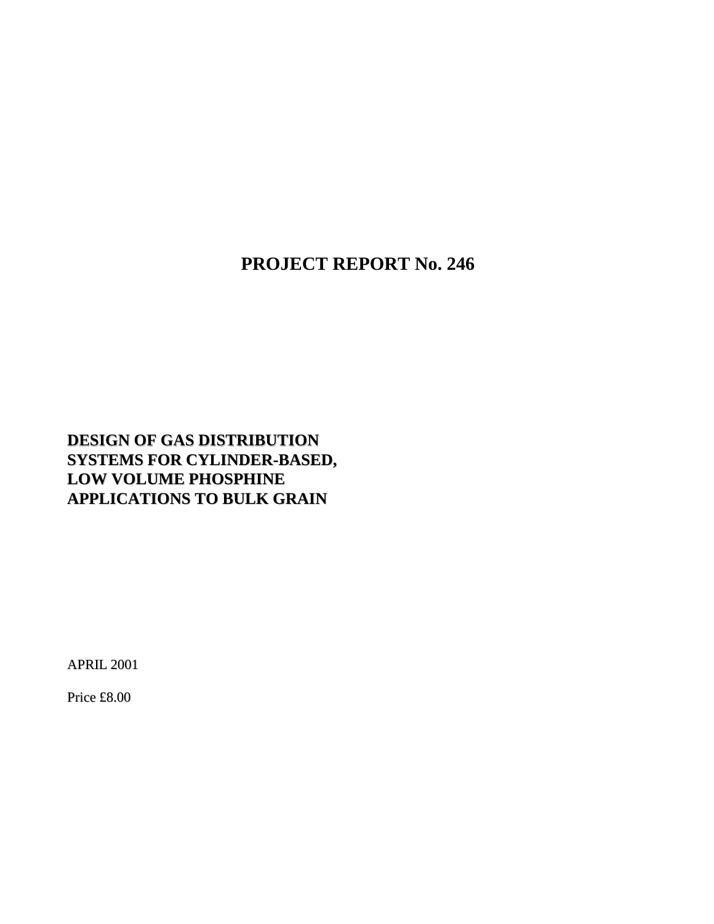**PROJECT REPORT No. 246**

# **DESIGN OF GAS DISTRIBUTION SYSTEMS FOR CYLINDER-BASED, LOW VOLUME PHOSPHINE APPLICATIONS TO BULK GRAIN**

APRIL 2001

Price £8.00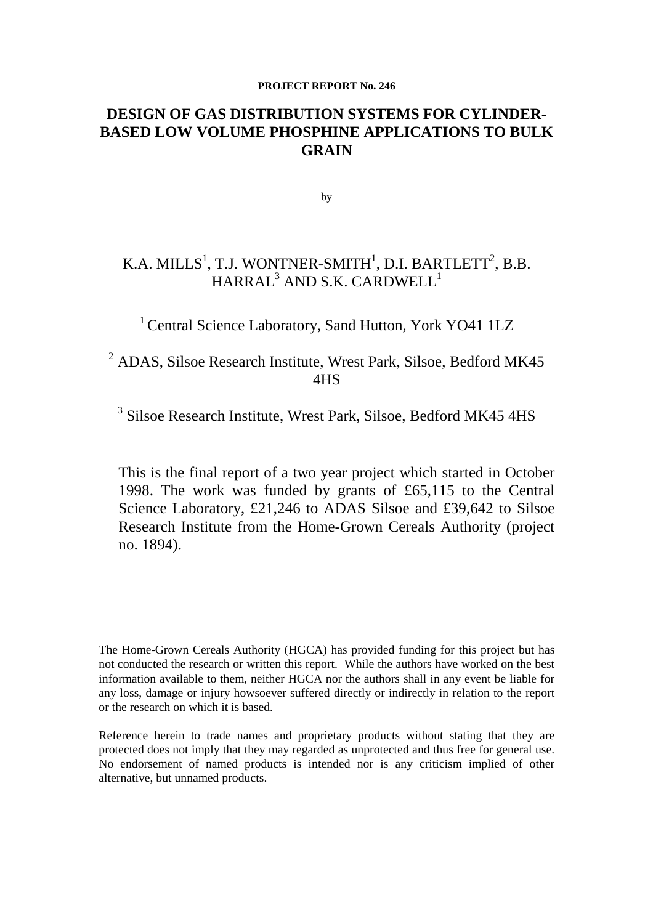#### **PROJECT REPORT No. 246**

# **DESIGN OF GAS DISTRIBUTION SYSTEMS FOR CYLINDER-BASED LOW VOLUME PHOSPHINE APPLICATIONS TO BULK GRAIN**

by

# K.A. MILLS $^1$ , T.J. WONTNER-SMITH $^1$ , D.I. BARTLETT $^2$ , B.B.  $\rm HARRAL^{3}$  AND S.K. CARDWELL $^1$

<sup>1</sup> Central Science Laboratory, Sand Hutton, York YO41 1LZ

<sup>2</sup> ADAS, Silsoe Research Institute, Wrest Park, Silsoe, Bedford MK45 4HS

<sup>3</sup> Silsoe Research Institute, Wrest Park, Silsoe, Bedford MK45 4HS

This is the final report of a two year project which started in October 1998. The work was funded by grants of £65,115 to the Central Science Laboratory, £21,246 to ADAS Silsoe and £39,642 to Silsoe Research Institute from the Home-Grown Cereals Authority (project no. 1894).

The Home-Grown Cereals Authority (HGCA) has provided funding for this project but has not conducted the research or written this report. While the authors have worked on the best information available to them, neither HGCA nor the authors shall in any event be liable for any loss, damage or injury howsoever suffered directly or indirectly in relation to the report or the research on which it is based.

Reference herein to trade names and proprietary products without stating that they are protected does not imply that they may regarded as unprotected and thus free for general use. No endorsement of named products is intended nor is any criticism implied of other alternative, but unnamed products.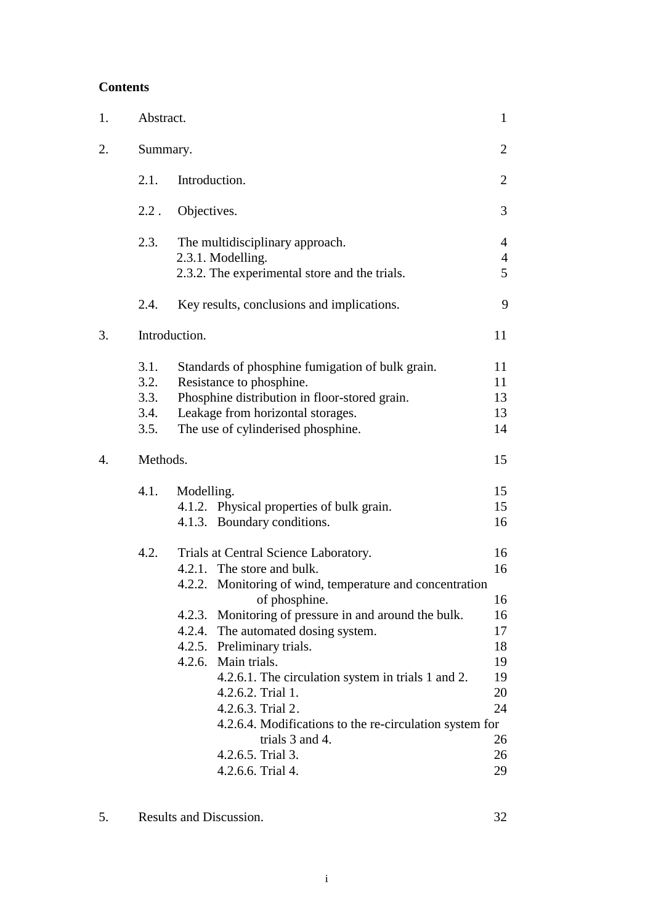# **Contents**

| 1. | Abstract.                            |                                                                                                                                                                                                                                                                                                                                                                                                                                                                                                          | $\mathbf{1}$                                                         |
|----|--------------------------------------|----------------------------------------------------------------------------------------------------------------------------------------------------------------------------------------------------------------------------------------------------------------------------------------------------------------------------------------------------------------------------------------------------------------------------------------------------------------------------------------------------------|----------------------------------------------------------------------|
| 2. | Summary.                             |                                                                                                                                                                                                                                                                                                                                                                                                                                                                                                          | $\overline{2}$                                                       |
|    | 2.1.                                 | Introduction.                                                                                                                                                                                                                                                                                                                                                                                                                                                                                            | $\overline{2}$                                                       |
|    | $2.2$ .                              | Objectives.                                                                                                                                                                                                                                                                                                                                                                                                                                                                                              | 3                                                                    |
|    | 2.3.                                 | The multidisciplinary approach.<br>2.3.1. Modelling.<br>2.3.2. The experimental store and the trials.                                                                                                                                                                                                                                                                                                                                                                                                    | $\overline{4}$<br>$\overline{4}$<br>5                                |
|    | 2.4.                                 | Key results, conclusions and implications.                                                                                                                                                                                                                                                                                                                                                                                                                                                               | 9                                                                    |
| 3. |                                      | Introduction.                                                                                                                                                                                                                                                                                                                                                                                                                                                                                            | 11                                                                   |
|    | 3.1.<br>3.2.<br>3.3.<br>3.4.<br>3.5. | Standards of phosphine fumigation of bulk grain.<br>Resistance to phosphine.<br>Phosphine distribution in floor-stored grain.<br>Leakage from horizontal storages.<br>The use of cylinderised phosphine.                                                                                                                                                                                                                                                                                                 | 11<br>11<br>13<br>13<br>14                                           |
| 4. | Methods.                             |                                                                                                                                                                                                                                                                                                                                                                                                                                                                                                          | 15                                                                   |
|    | 4.1.                                 | Modelling.<br>4.1.2. Physical properties of bulk grain.<br>4.1.3. Boundary conditions.                                                                                                                                                                                                                                                                                                                                                                                                                   | 15<br>15<br>16                                                       |
|    | 4.2.                                 | Trials at Central Science Laboratory.<br>4.2.1. The store and bulk.<br>4.2.2. Monitoring of wind, temperature and concentration<br>of phosphine.<br>4.2.3. Monitoring of pressure in and around the bulk.<br>4.2.4. The automated dosing system.<br>4.2.5. Preliminary trials.<br>4.2.6. Main trials.<br>4.2.6.1. The circulation system in trials 1 and 2.<br>4.2.6.2. Trial 1.<br>4.2.6.3. Trial 2.<br>4.2.6.4. Modifications to the re-circulation system for<br>trials 3 and 4.<br>4.2.6.5. Trial 3. | 16<br>16<br>16<br>16<br>17<br>18<br>19<br>19<br>20<br>24<br>26<br>26 |
|    |                                      | 4.2.6.6. Trial 4.                                                                                                                                                                                                                                                                                                                                                                                                                                                                                        | 29                                                                   |

5. Results and Discussion. 32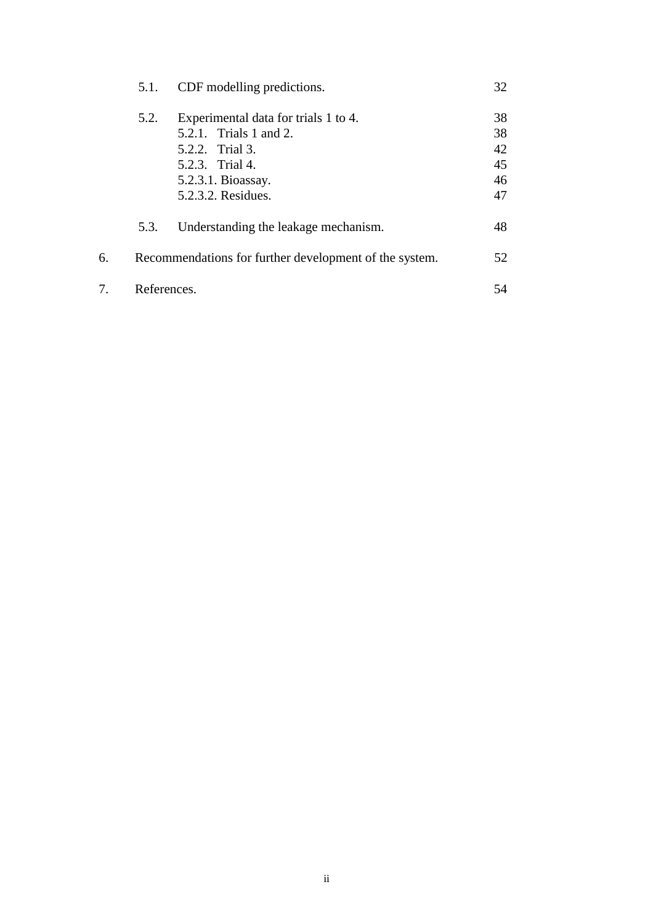|    | 5.1.        | CDF modelling predictions.                                                                                                                       | 32                               |
|----|-------------|--------------------------------------------------------------------------------------------------------------------------------------------------|----------------------------------|
|    | 5.2.        | Experimental data for trials 1 to 4.<br>5.2.1. Trials 1 and 2.<br>5.2.2. Trial 3.<br>5.2.3. Trial 4.<br>5.2.3.1. Bioassay.<br>5.2.3.2. Residues. | 38<br>38<br>42<br>45<br>46<br>47 |
|    | 5.3.        | Understanding the leakage mechanism.                                                                                                             | 48                               |
| 6. |             | Recommendations for further development of the system.                                                                                           | 52                               |
| 7. | References. |                                                                                                                                                  | 54                               |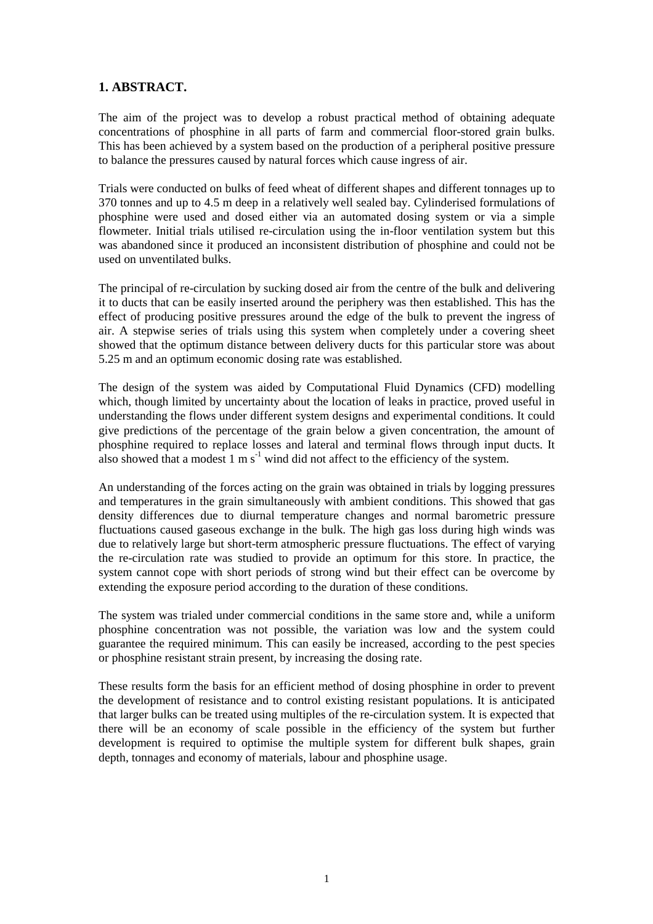### **1. ABSTRACT.**

The aim of the project was to develop a robust practical method of obtaining adequate concentrations of phosphine in all parts of farm and commercial floor-stored grain bulks. This has been achieved by a system based on the production of a peripheral positive pressure to balance the pressures caused by natural forces which cause ingress of air.

Trials were conducted on bulks of feed wheat of different shapes and different tonnages up to 370 tonnes and up to 4.5 m deep in a relatively well sealed bay. Cylinderised formulations of phosphine were used and dosed either via an automated dosing system or via a simple flowmeter. Initial trials utilised re-circulation using the in-floor ventilation system but this was abandoned since it produced an inconsistent distribution of phosphine and could not be used on unventilated bulks.

The principal of re-circulation by sucking dosed air from the centre of the bulk and delivering it to ducts that can be easily inserted around the periphery was then established. This has the effect of producing positive pressures around the edge of the bulk to prevent the ingress of air. A stepwise series of trials using this system when completely under a covering sheet showed that the optimum distance between delivery ducts for this particular store was about 5.25 m and an optimum economic dosing rate was established.

The design of the system was aided by Computational Fluid Dynamics (CFD) modelling which, though limited by uncertainty about the location of leaks in practice, proved useful in understanding the flows under different system designs and experimental conditions. It could give predictions of the percentage of the grain below a given concentration, the amount of phosphine required to replace losses and lateral and terminal flows through input ducts. It also showed that a modest  $1 \text{ m s}^{-1}$  wind did not affect to the efficiency of the system.

An understanding of the forces acting on the grain was obtained in trials by logging pressures and temperatures in the grain simultaneously with ambient conditions. This showed that gas density differences due to diurnal temperature changes and normal barometric pressure fluctuations caused gaseous exchange in the bulk. The high gas loss during high winds was due to relatively large but short-term atmospheric pressure fluctuations. The effect of varying the re-circulation rate was studied to provide an optimum for this store. In practice, the system cannot cope with short periods of strong wind but their effect can be overcome by extending the exposure period according to the duration of these conditions.

The system was trialed under commercial conditions in the same store and, while a uniform phosphine concentration was not possible, the variation was low and the system could guarantee the required minimum. This can easily be increased, according to the pest species or phosphine resistant strain present, by increasing the dosing rate.

These results form the basis for an efficient method of dosing phosphine in order to prevent the development of resistance and to control existing resistant populations. It is anticipated that larger bulks can be treated using multiples of the re-circulation system. It is expected that there will be an economy of scale possible in the efficiency of the system but further development is required to optimise the multiple system for different bulk shapes, grain depth, tonnages and economy of materials, labour and phosphine usage.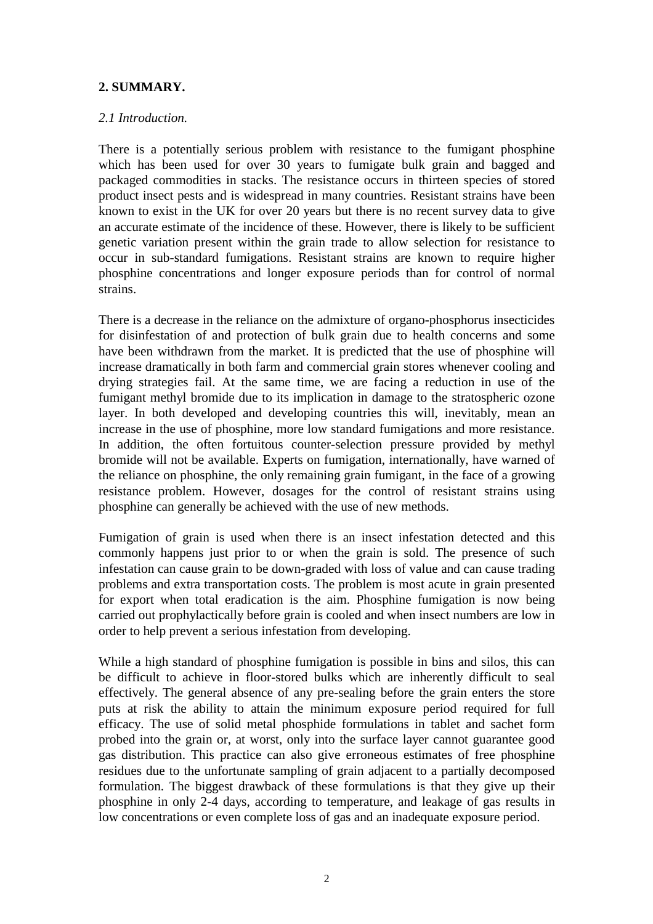## **2. SUMMARY.**

## *2.1 Introduction.*

There is a potentially serious problem with resistance to the fumigant phosphine which has been used for over 30 years to fumigate bulk grain and bagged and packaged commodities in stacks. The resistance occurs in thirteen species of stored product insect pests and is widespread in many countries. Resistant strains have been known to exist in the UK for over 20 years but there is no recent survey data to give an accurate estimate of the incidence of these. However, there is likely to be sufficient genetic variation present within the grain trade to allow selection for resistance to occur in sub-standard fumigations. Resistant strains are known to require higher phosphine concentrations and longer exposure periods than for control of normal strains.

There is a decrease in the reliance on the admixture of organo-phosphorus insecticides for disinfestation of and protection of bulk grain due to health concerns and some have been withdrawn from the market. It is predicted that the use of phosphine will increase dramatically in both farm and commercial grain stores whenever cooling and drying strategies fail. At the same time, we are facing a reduction in use of the fumigant methyl bromide due to its implication in damage to the stratospheric ozone layer. In both developed and developing countries this will, inevitably, mean an increase in the use of phosphine, more low standard fumigations and more resistance. In addition, the often fortuitous counter-selection pressure provided by methyl bromide will not be available. Experts on fumigation, internationally, have warned of the reliance on phosphine, the only remaining grain fumigant, in the face of a growing resistance problem. However, dosages for the control of resistant strains using phosphine can generally be achieved with the use of new methods.

Fumigation of grain is used when there is an insect infestation detected and this commonly happens just prior to or when the grain is sold. The presence of such infestation can cause grain to be down-graded with loss of value and can cause trading problems and extra transportation costs. The problem is most acute in grain presented for export when total eradication is the aim. Phosphine fumigation is now being carried out prophylactically before grain is cooled and when insect numbers are low in order to help prevent a serious infestation from developing.

While a high standard of phosphine fumigation is possible in bins and silos, this can be difficult to achieve in floor-stored bulks which are inherently difficult to seal effectively. The general absence of any pre-sealing before the grain enters the store puts at risk the ability to attain the minimum exposure period required for full efficacy. The use of solid metal phosphide formulations in tablet and sachet form probed into the grain or, at worst, only into the surface layer cannot guarantee good gas distribution. This practice can also give erroneous estimates of free phosphine residues due to the unfortunate sampling of grain adjacent to a partially decomposed formulation. The biggest drawback of these formulations is that they give up their phosphine in only 2-4 days, according to temperature, and leakage of gas results in low concentrations or even complete loss of gas and an inadequate exposure period.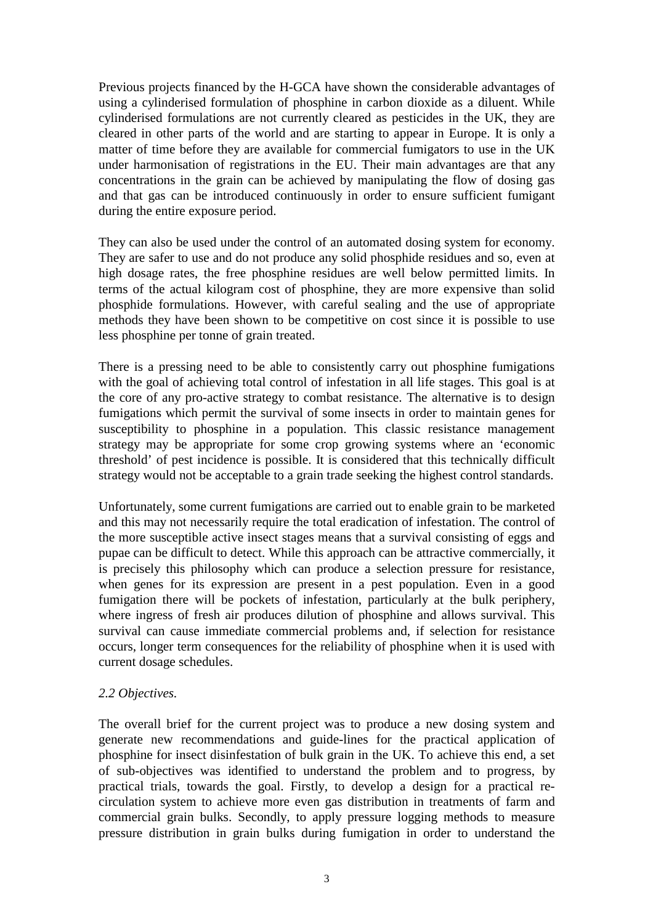Previous projects financed by the H-GCA have shown the considerable advantages of using a cylinderised formulation of phosphine in carbon dioxide as a diluent. While cylinderised formulations are not currently cleared as pesticides in the UK, they are cleared in other parts of the world and are starting to appear in Europe. It is only a matter of time before they are available for commercial fumigators to use in the UK under harmonisation of registrations in the EU. Their main advantages are that any concentrations in the grain can be achieved by manipulating the flow of dosing gas and that gas can be introduced continuously in order to ensure sufficient fumigant during the entire exposure period.

They can also be used under the control of an automated dosing system for economy. They are safer to use and do not produce any solid phosphide residues and so, even at high dosage rates, the free phosphine residues are well below permitted limits. In terms of the actual kilogram cost of phosphine, they are more expensive than solid phosphide formulations. However, with careful sealing and the use of appropriate methods they have been shown to be competitive on cost since it is possible to use less phosphine per tonne of grain treated.

There is a pressing need to be able to consistently carry out phosphine fumigations with the goal of achieving total control of infestation in all life stages. This goal is at the core of any pro-active strategy to combat resistance. The alternative is to design fumigations which permit the survival of some insects in order to maintain genes for susceptibility to phosphine in a population. This classic resistance management strategy may be appropriate for some crop growing systems where an 'economic threshold' of pest incidence is possible. It is considered that this technically difficult strategy would not be acceptable to a grain trade seeking the highest control standards.

Unfortunately, some current fumigations are carried out to enable grain to be marketed and this may not necessarily require the total eradication of infestation. The control of the more susceptible active insect stages means that a survival consisting of eggs and pupae can be difficult to detect. While this approach can be attractive commercially, it is precisely this philosophy which can produce a selection pressure for resistance, when genes for its expression are present in a pest population. Even in a good fumigation there will be pockets of infestation, particularly at the bulk periphery, where ingress of fresh air produces dilution of phosphine and allows survival. This survival can cause immediate commercial problems and, if selection for resistance occurs, longer term consequences for the reliability of phosphine when it is used with current dosage schedules.

#### *2.2 Objectives.*

The overall brief for the current project was to produce a new dosing system and generate new recommendations and guide-lines for the practical application of phosphine for insect disinfestation of bulk grain in the UK. To achieve this end, a set of sub-objectives was identified to understand the problem and to progress, by practical trials, towards the goal. Firstly, to develop a design for a practical recirculation system to achieve more even gas distribution in treatments of farm and commercial grain bulks. Secondly, to apply pressure logging methods to measure pressure distribution in grain bulks during fumigation in order to understand the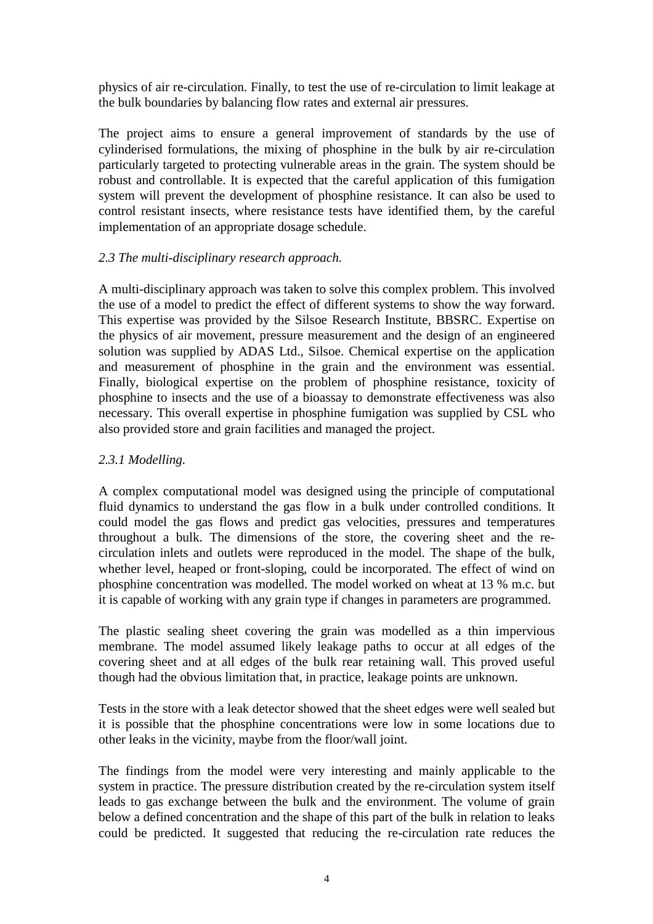physics of air re-circulation. Finally, to test the use of re-circulation to limit leakage at the bulk boundaries by balancing flow rates and external air pressures.

The project aims to ensure a general improvement of standards by the use of cylinderised formulations, the mixing of phosphine in the bulk by air re-circulation particularly targeted to protecting vulnerable areas in the grain. The system should be robust and controllable. It is expected that the careful application of this fumigation system will prevent the development of phosphine resistance. It can also be used to control resistant insects, where resistance tests have identified them, by the careful implementation of an appropriate dosage schedule.

## *2.3 The multi-disciplinary research approach.*

A multi-disciplinary approach was taken to solve this complex problem. This involved the use of a model to predict the effect of different systems to show the way forward. This expertise was provided by the Silsoe Research Institute, BBSRC. Expertise on the physics of air movement, pressure measurement and the design of an engineered solution was supplied by ADAS Ltd., Silsoe. Chemical expertise on the application and measurement of phosphine in the grain and the environment was essential. Finally, biological expertise on the problem of phosphine resistance, toxicity of phosphine to insects and the use of a bioassay to demonstrate effectiveness was also necessary. This overall expertise in phosphine fumigation was supplied by CSL who also provided store and grain facilities and managed the project.

## *2.3.1 Modelling.*

A complex computational model was designed using the principle of computational fluid dynamics to understand the gas flow in a bulk under controlled conditions. It could model the gas flows and predict gas velocities, pressures and temperatures throughout a bulk. The dimensions of the store, the covering sheet and the recirculation inlets and outlets were reproduced in the model. The shape of the bulk, whether level, heaped or front-sloping, could be incorporated. The effect of wind on phosphine concentration was modelled. The model worked on wheat at 13 % m.c. but it is capable of working with any grain type if changes in parameters are programmed.

The plastic sealing sheet covering the grain was modelled as a thin impervious membrane. The model assumed likely leakage paths to occur at all edges of the covering sheet and at all edges of the bulk rear retaining wall. This proved useful though had the obvious limitation that, in practice, leakage points are unknown.

Tests in the store with a leak detector showed that the sheet edges were well sealed but it is possible that the phosphine concentrations were low in some locations due to other leaks in the vicinity, maybe from the floor/wall joint.

The findings from the model were very interesting and mainly applicable to the system in practice. The pressure distribution created by the re-circulation system itself leads to gas exchange between the bulk and the environment. The volume of grain below a defined concentration and the shape of this part of the bulk in relation to leaks could be predicted. It suggested that reducing the re-circulation rate reduces the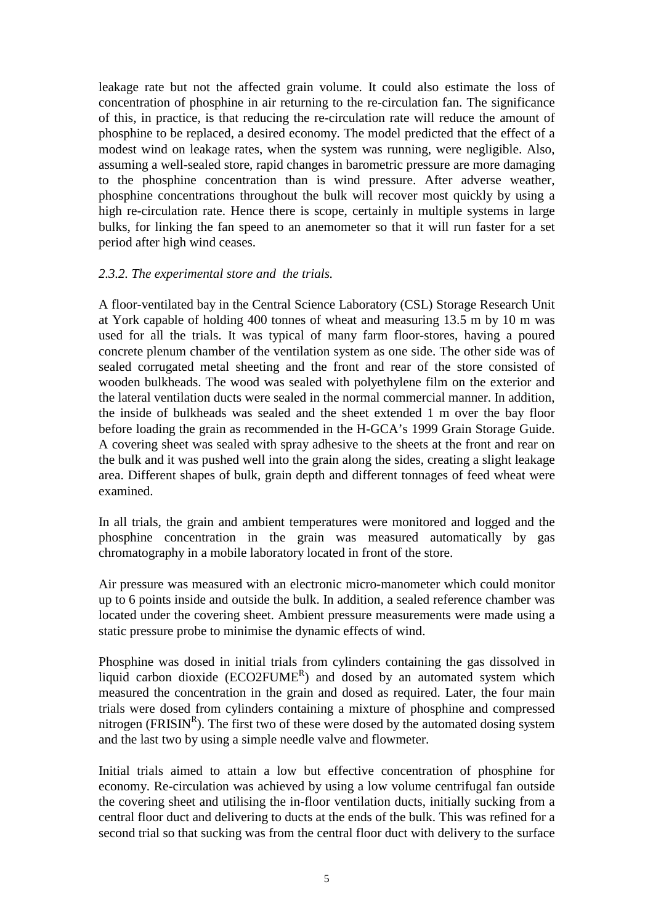leakage rate but not the affected grain volume. It could also estimate the loss of concentration of phosphine in air returning to the re-circulation fan. The significance of this, in practice, is that reducing the re-circulation rate will reduce the amount of phosphine to be replaced, a desired economy. The model predicted that the effect of a modest wind on leakage rates, when the system was running, were negligible. Also, assuming a well-sealed store, rapid changes in barometric pressure are more damaging to the phosphine concentration than is wind pressure. After adverse weather, phosphine concentrations throughout the bulk will recover most quickly by using a high re-circulation rate. Hence there is scope, certainly in multiple systems in large bulks, for linking the fan speed to an anemometer so that it will run faster for a set period after high wind ceases.

#### *2.3.2. The experimental store and the trials.*

A floor-ventilated bay in the Central Science Laboratory (CSL) Storage Research Unit at York capable of holding 400 tonnes of wheat and measuring 13.5 m by 10 m was used for all the trials. It was typical of many farm floor-stores, having a poured concrete plenum chamber of the ventilation system as one side. The other side was of sealed corrugated metal sheeting and the front and rear of the store consisted of wooden bulkheads. The wood was sealed with polyethylene film on the exterior and the lateral ventilation ducts were sealed in the normal commercial manner. In addition, the inside of bulkheads was sealed and the sheet extended 1 m over the bay floor before loading the grain as recommended in the H-GCA's 1999 Grain Storage Guide. A covering sheet was sealed with spray adhesive to the sheets at the front and rear on the bulk and it was pushed well into the grain along the sides, creating a slight leakage area. Different shapes of bulk, grain depth and different tonnages of feed wheat were examined.

In all trials, the grain and ambient temperatures were monitored and logged and the phosphine concentration in the grain was measured automatically by gas chromatography in a mobile laboratory located in front of the store.

Air pressure was measured with an electronic micro-manometer which could monitor up to 6 points inside and outside the bulk. In addition, a sealed reference chamber was located under the covering sheet. Ambient pressure measurements were made using a static pressure probe to minimise the dynamic effects of wind.

Phosphine was dosed in initial trials from cylinders containing the gas dissolved in liquid carbon dioxide  $(ECO2FUME<sup>R</sup>)$  and dosed by an automated system which measured the concentration in the grain and dosed as required. Later, the four main trials were dosed from cylinders containing a mixture of phosphine and compressed nitrogen (FRISIN<sup>R</sup>). The first two of these were dosed by the automated dosing system and the last two by using a simple needle valve and flowmeter.

Initial trials aimed to attain a low but effective concentration of phosphine for economy. Re-circulation was achieved by using a low volume centrifugal fan outside the covering sheet and utilising the in-floor ventilation ducts, initially sucking from a central floor duct and delivering to ducts at the ends of the bulk. This was refined for a second trial so that sucking was from the central floor duct with delivery to the surface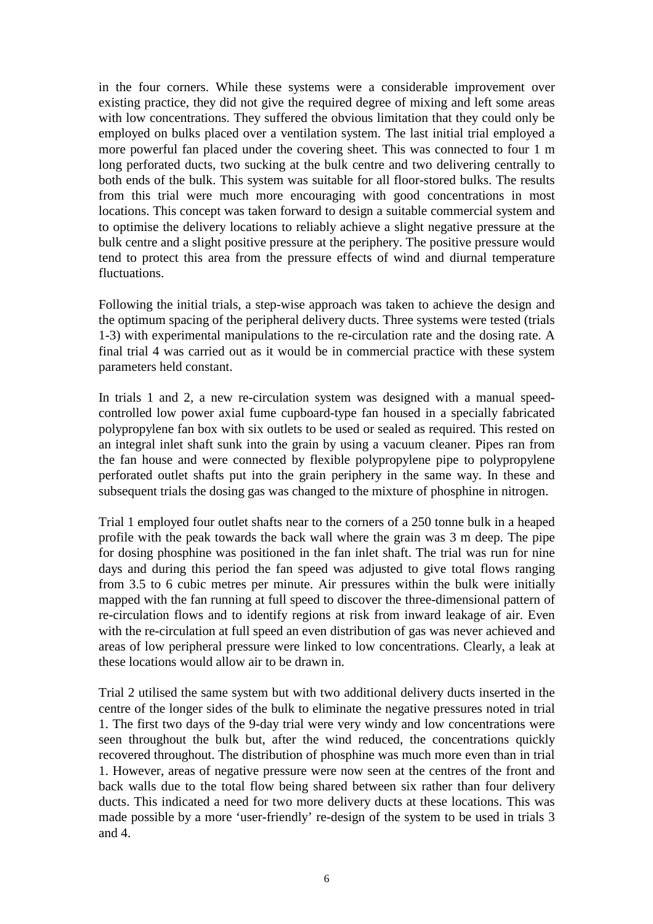in the four corners. While these systems were a considerable improvement over existing practice, they did not give the required degree of mixing and left some areas with low concentrations. They suffered the obvious limitation that they could only be employed on bulks placed over a ventilation system. The last initial trial employed a more powerful fan placed under the covering sheet. This was connected to four 1 m long perforated ducts, two sucking at the bulk centre and two delivering centrally to both ends of the bulk. This system was suitable for all floor-stored bulks. The results from this trial were much more encouraging with good concentrations in most locations. This concept was taken forward to design a suitable commercial system and to optimise the delivery locations to reliably achieve a slight negative pressure at the bulk centre and a slight positive pressure at the periphery. The positive pressure would tend to protect this area from the pressure effects of wind and diurnal temperature fluctuations.

Following the initial trials, a step-wise approach was taken to achieve the design and the optimum spacing of the peripheral delivery ducts. Three systems were tested (trials 1-3) with experimental manipulations to the re-circulation rate and the dosing rate. A final trial 4 was carried out as it would be in commercial practice with these system parameters held constant.

In trials 1 and 2, a new re-circulation system was designed with a manual speedcontrolled low power axial fume cupboard-type fan housed in a specially fabricated polypropylene fan box with six outlets to be used or sealed as required. This rested on an integral inlet shaft sunk into the grain by using a vacuum cleaner. Pipes ran from the fan house and were connected by flexible polypropylene pipe to polypropylene perforated outlet shafts put into the grain periphery in the same way. In these and subsequent trials the dosing gas was changed to the mixture of phosphine in nitrogen.

Trial 1 employed four outlet shafts near to the corners of a 250 tonne bulk in a heaped profile with the peak towards the back wall where the grain was 3 m deep. The pipe for dosing phosphine was positioned in the fan inlet shaft. The trial was run for nine days and during this period the fan speed was adjusted to give total flows ranging from 3.5 to 6 cubic metres per minute. Air pressures within the bulk were initially mapped with the fan running at full speed to discover the three-dimensional pattern of re-circulation flows and to identify regions at risk from inward leakage of air. Even with the re-circulation at full speed an even distribution of gas was never achieved and areas of low peripheral pressure were linked to low concentrations. Clearly, a leak at these locations would allow air to be drawn in.

Trial 2 utilised the same system but with two additional delivery ducts inserted in the centre of the longer sides of the bulk to eliminate the negative pressures noted in trial 1. The first two days of the 9-day trial were very windy and low concentrations were seen throughout the bulk but, after the wind reduced, the concentrations quickly recovered throughout. The distribution of phosphine was much more even than in trial 1. However, areas of negative pressure were now seen at the centres of the front and back walls due to the total flow being shared between six rather than four delivery ducts. This indicated a need for two more delivery ducts at these locations. This was made possible by a more 'user-friendly' re-design of the system to be used in trials 3 and 4.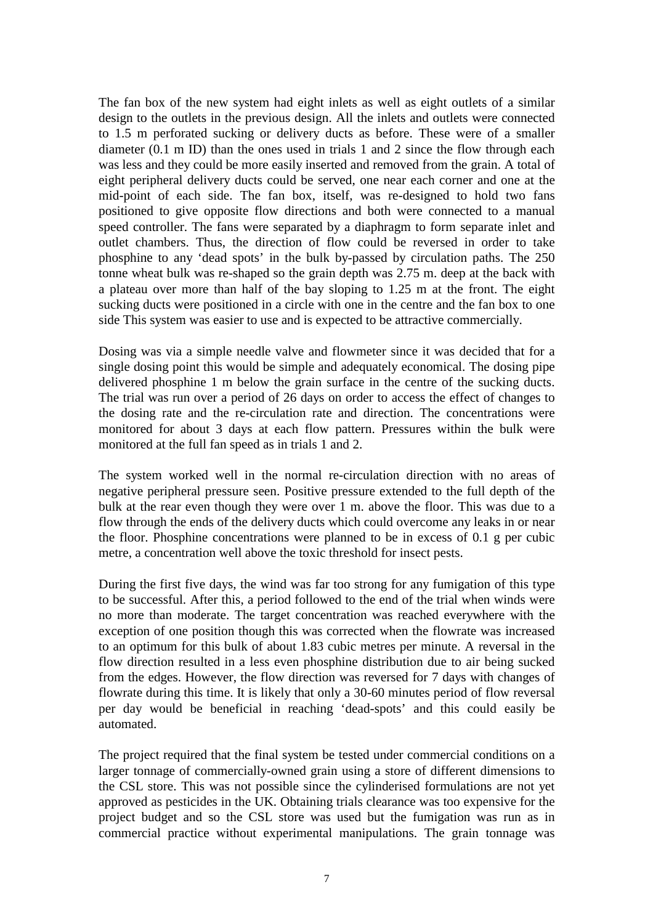The fan box of the new system had eight inlets as well as eight outlets of a similar design to the outlets in the previous design. All the inlets and outlets were connected to 1.5 m perforated sucking or delivery ducts as before. These were of a smaller diameter (0.1 m ID) than the ones used in trials 1 and 2 since the flow through each was less and they could be more easily inserted and removed from the grain. A total of eight peripheral delivery ducts could be served, one near each corner and one at the mid-point of each side. The fan box, itself, was re-designed to hold two fans positioned to give opposite flow directions and both were connected to a manual speed controller. The fans were separated by a diaphragm to form separate inlet and outlet chambers. Thus, the direction of flow could be reversed in order to take phosphine to any 'dead spots' in the bulk by-passed by circulation paths. The 250 tonne wheat bulk was re-shaped so the grain depth was 2.75 m. deep at the back with a plateau over more than half of the bay sloping to 1.25 m at the front. The eight sucking ducts were positioned in a circle with one in the centre and the fan box to one side This system was easier to use and is expected to be attractive commercially.

Dosing was via a simple needle valve and flowmeter since it was decided that for a single dosing point this would be simple and adequately economical. The dosing pipe delivered phosphine 1 m below the grain surface in the centre of the sucking ducts. The trial was run over a period of 26 days on order to access the effect of changes to the dosing rate and the re-circulation rate and direction. The concentrations were monitored for about 3 days at each flow pattern. Pressures within the bulk were monitored at the full fan speed as in trials 1 and 2.

The system worked well in the normal re-circulation direction with no areas of negative peripheral pressure seen. Positive pressure extended to the full depth of the bulk at the rear even though they were over 1 m. above the floor. This was due to a flow through the ends of the delivery ducts which could overcome any leaks in or near the floor. Phosphine concentrations were planned to be in excess of 0.1 g per cubic metre, a concentration well above the toxic threshold for insect pests.

During the first five days, the wind was far too strong for any fumigation of this type to be successful. After this, a period followed to the end of the trial when winds were no more than moderate. The target concentration was reached everywhere with the exception of one position though this was corrected when the flowrate was increased to an optimum for this bulk of about 1.83 cubic metres per minute. A reversal in the flow direction resulted in a less even phosphine distribution due to air being sucked from the edges. However, the flow direction was reversed for 7 days with changes of flowrate during this time. It is likely that only a 30-60 minutes period of flow reversal per day would be beneficial in reaching 'dead-spots' and this could easily be automated.

The project required that the final system be tested under commercial conditions on a larger tonnage of commercially-owned grain using a store of different dimensions to the CSL store. This was not possible since the cylinderised formulations are not yet approved as pesticides in the UK. Obtaining trials clearance was too expensive for the project budget and so the CSL store was used but the fumigation was run as in commercial practice without experimental manipulations. The grain tonnage was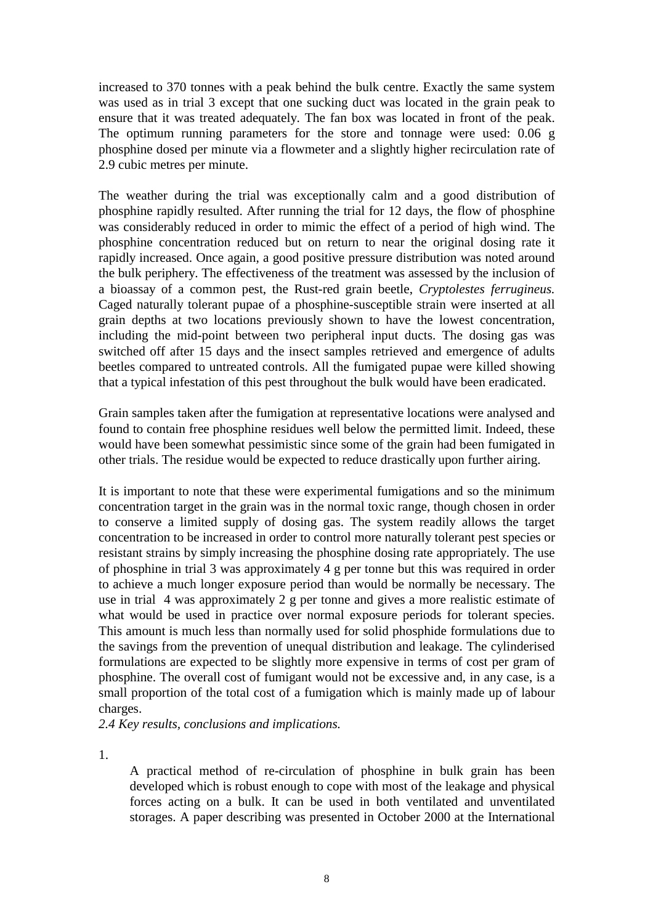increased to 370 tonnes with a peak behind the bulk centre. Exactly the same system was used as in trial 3 except that one sucking duct was located in the grain peak to ensure that it was treated adequately. The fan box was located in front of the peak. The optimum running parameters for the store and tonnage were used: 0.06 g phosphine dosed per minute via a flowmeter and a slightly higher recirculation rate of 2.9 cubic metres per minute.

The weather during the trial was exceptionally calm and a good distribution of phosphine rapidly resulted. After running the trial for 12 days, the flow of phosphine was considerably reduced in order to mimic the effect of a period of high wind. The phosphine concentration reduced but on return to near the original dosing rate it rapidly increased. Once again, a good positive pressure distribution was noted around the bulk periphery. The effectiveness of the treatment was assessed by the inclusion of a bioassay of a common pest, the Rust-red grain beetle, *Cryptolestes ferrugineus.* Caged naturally tolerant pupae of a phosphine-susceptible strain were inserted at all grain depths at two locations previously shown to have the lowest concentration, including the mid-point between two peripheral input ducts. The dosing gas was switched off after 15 days and the insect samples retrieved and emergence of adults beetles compared to untreated controls. All the fumigated pupae were killed showing that a typical infestation of this pest throughout the bulk would have been eradicated.

Grain samples taken after the fumigation at representative locations were analysed and found to contain free phosphine residues well below the permitted limit. Indeed, these would have been somewhat pessimistic since some of the grain had been fumigated in other trials. The residue would be expected to reduce drastically upon further airing.

It is important to note that these were experimental fumigations and so the minimum concentration target in the grain was in the normal toxic range, though chosen in order to conserve a limited supply of dosing gas. The system readily allows the target concentration to be increased in order to control more naturally tolerant pest species or resistant strains by simply increasing the phosphine dosing rate appropriately. The use of phosphine in trial 3 was approximately 4 g per tonne but this was required in order to achieve a much longer exposure period than would be normally be necessary. The use in trial 4 was approximately 2 g per tonne and gives a more realistic estimate of what would be used in practice over normal exposure periods for tolerant species. This amount is much less than normally used for solid phosphide formulations due to the savings from the prevention of unequal distribution and leakage. The cylinderised formulations are expected to be slightly more expensive in terms of cost per gram of phosphine. The overall cost of fumigant would not be excessive and, in any case, is a small proportion of the total cost of a fumigation which is mainly made up of labour charges.

*2.4 Key results, conclusions and implications.*

1.

A practical method of re-circulation of phosphine in bulk grain has been developed which is robust enough to cope with most of the leakage and physical forces acting on a bulk. It can be used in both ventilated and unventilated storages. A paper describing was presented in October 2000 at the International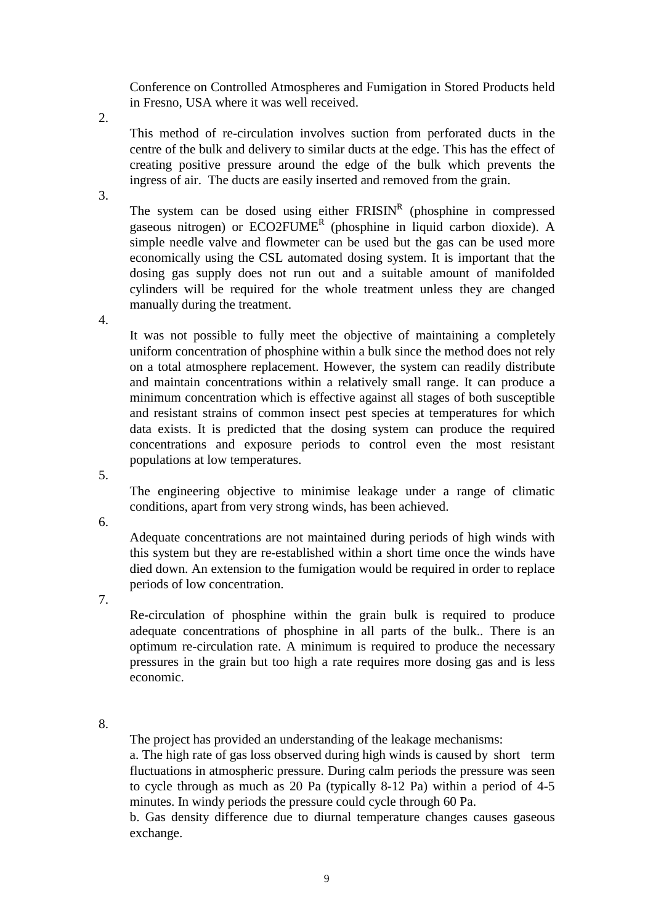Conference on Controlled Atmospheres and Fumigation in Stored Products held in Fresno, USA where it was well received.

2.

This method of re-circulation involves suction from perforated ducts in the centre of the bulk and delivery to similar ducts at the edge. This has the effect of creating positive pressure around the edge of the bulk which prevents the ingress of air. The ducts are easily inserted and removed from the grain.

3.

The system can be dosed using either  $FRISIN<sup>R</sup>$  (phosphine in compressed gaseous nitrogen) or ECO2FUME<sup>R</sup> (phosphine in liquid carbon dioxide). A simple needle valve and flowmeter can be used but the gas can be used more economically using the CSL automated dosing system. It is important that the dosing gas supply does not run out and a suitable amount of manifolded cylinders will be required for the whole treatment unless they are changed manually during the treatment.

4.

It was not possible to fully meet the objective of maintaining a completely uniform concentration of phosphine within a bulk since the method does not rely on a total atmosphere replacement. However, the system can readily distribute and maintain concentrations within a relatively small range. It can produce a minimum concentration which is effective against all stages of both susceptible and resistant strains of common insect pest species at temperatures for which data exists. It is predicted that the dosing system can produce the required concentrations and exposure periods to control even the most resistant populations at low temperatures.

5.

The engineering objective to minimise leakage under a range of climatic conditions, apart from very strong winds, has been achieved.

6.

Adequate concentrations are not maintained during periods of high winds with this system but they are re-established within a short time once the winds have died down. An extension to the fumigation would be required in order to replace periods of low concentration.

7.

Re-circulation of phosphine within the grain bulk is required to produce adequate concentrations of phosphine in all parts of the bulk.. There is an optimum re-circulation rate. A minimum is required to produce the necessary pressures in the grain but too high a rate requires more dosing gas and is less economic.

8.

The project has provided an understanding of the leakage mechanisms:

a. The high rate of gas loss observed during high winds is caused by short term fluctuations in atmospheric pressure. During calm periods the pressure was seen to cycle through as much as 20 Pa (typically 8-12 Pa) within a period of 4-5 minutes. In windy periods the pressure could cycle through 60 Pa.

b. Gas density difference due to diurnal temperature changes causes gaseous exchange.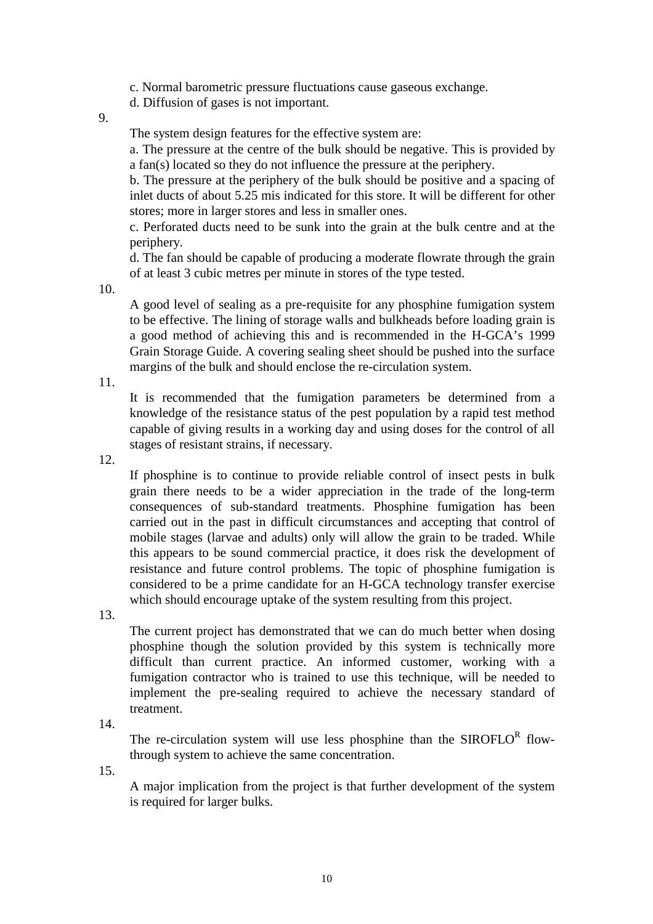c. Normal barometric pressure fluctuations cause gaseous exchange.

d. Diffusion of gases is not important.

9.

The system design features for the effective system are:

a. The pressure at the centre of the bulk should be negative. This is provided by a fan(s) located so they do not influence the pressure at the periphery.

b. The pressure at the periphery of the bulk should be positive and a spacing of inlet ducts of about 5.25 mis indicated for this store. It will be different for other stores; more in larger stores and less in smaller ones.

c. Perforated ducts need to be sunk into the grain at the bulk centre and at the periphery.

d. The fan should be capable of producing a moderate flowrate through the grain of at least 3 cubic metres per minute in stores of the type tested.

10.

A good level of sealing as a pre-requisite for any phosphine fumigation system to be effective. The lining of storage walls and bulkheads before loading grain is a good method of achieving this and is recommended in the H-GCA's 1999 Grain Storage Guide. A covering sealing sheet should be pushed into the surface margins of the bulk and should enclose the re-circulation system.

11.

It is recommended that the fumigation parameters be determined from a knowledge of the resistance status of the pest population by a rapid test method capable of giving results in a working day and using doses for the control of all stages of resistant strains, if necessary.

12.

If phosphine is to continue to provide reliable control of insect pests in bulk grain there needs to be a wider appreciation in the trade of the long-term consequences of sub-standard treatments. Phosphine fumigation has been carried out in the past in difficult circumstances and accepting that control of mobile stages (larvae and adults) only will allow the grain to be traded. While this appears to be sound commercial practice, it does risk the development of resistance and future control problems. The topic of phosphine fumigation is considered to be a prime candidate for an H-GCA technology transfer exercise which should encourage uptake of the system resulting from this project.

13.

The current project has demonstrated that we can do much better when dosing phosphine though the solution provided by this system is technically more difficult than current practice. An informed customer, working with a fumigation contractor who is trained to use this technique, will be needed to implement the pre-sealing required to achieve the necessary standard of treatment.

14.

The re-circulation system will use less phosphine than the  $SIROFLO<sup>R</sup>$  flowthrough system to achieve the same concentration.

15.

A major implication from the project is that further development of the system is required for larger bulks.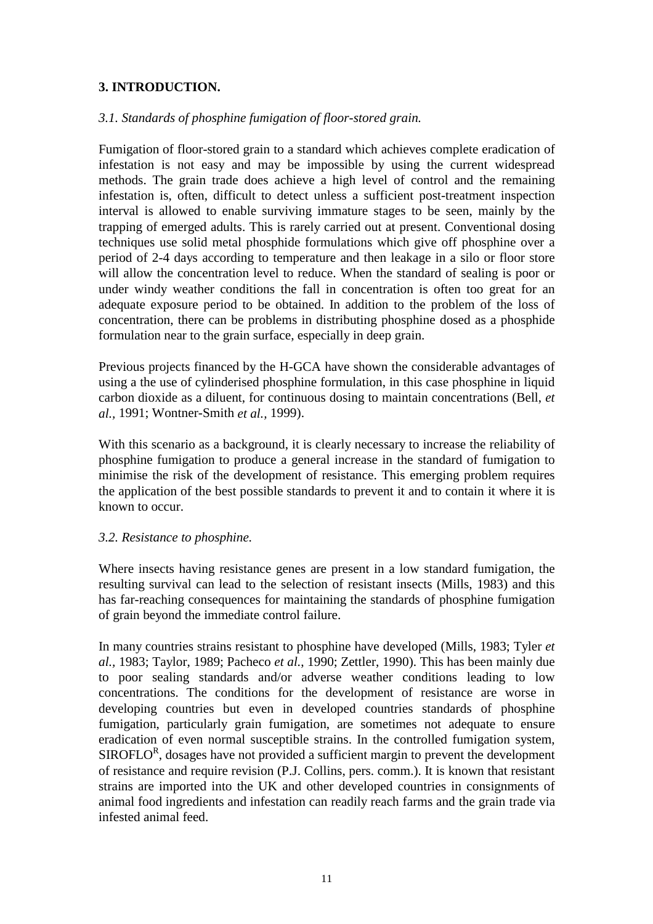## **3. INTRODUCTION.**

#### *3.1. Standards of phosphine fumigation of floor-stored grain.*

Fumigation of floor-stored grain to a standard which achieves complete eradication of infestation is not easy and may be impossible by using the current widespread methods. The grain trade does achieve a high level of control and the remaining infestation is, often, difficult to detect unless a sufficient post-treatment inspection interval is allowed to enable surviving immature stages to be seen, mainly by the trapping of emerged adults. This is rarely carried out at present. Conventional dosing techniques use solid metal phosphide formulations which give off phosphine over a period of 2-4 days according to temperature and then leakage in a silo or floor store will allow the concentration level to reduce. When the standard of sealing is poor or under windy weather conditions the fall in concentration is often too great for an adequate exposure period to be obtained. In addition to the problem of the loss of concentration, there can be problems in distributing phosphine dosed as a phosphide formulation near to the grain surface, especially in deep grain.

Previous projects financed by the H-GCA have shown the considerable advantages of using a the use of cylinderised phosphine formulation, in this case phosphine in liquid carbon dioxide as a diluent, for continuous dosing to maintain concentrations (Bell, *et al.,* 1991; Wontner-Smith *et al.,* 1999).

With this scenario as a background, it is clearly necessary to increase the reliability of phosphine fumigation to produce a general increase in the standard of fumigation to minimise the risk of the development of resistance. This emerging problem requires the application of the best possible standards to prevent it and to contain it where it is known to occur.

#### *3.2. Resistance to phosphine.*

Where insects having resistance genes are present in a low standard fumigation, the resulting survival can lead to the selection of resistant insects (Mills, 1983) and this has far-reaching consequences for maintaining the standards of phosphine fumigation of grain beyond the immediate control failure.

In many countries strains resistant to phosphine have developed (Mills, 1983; Tyler *et al.,* 1983; Taylor, 1989; Pacheco *et al.*, 1990; Zettler, 1990). This has been mainly due to poor sealing standards and/or adverse weather conditions leading to low concentrations. The conditions for the development of resistance are worse in developing countries but even in developed countries standards of phosphine fumigation, particularly grain fumigation, are sometimes not adequate to ensure eradication of even normal susceptible strains. In the controlled fumigation system,  $SIROFLO<sup>R</sup>$ , dosages have not provided a sufficient margin to prevent the development of resistance and require revision (P.J. Collins, pers. comm.). It is known that resistant strains are imported into the UK and other developed countries in consignments of animal food ingredients and infestation can readily reach farms and the grain trade via infested animal feed.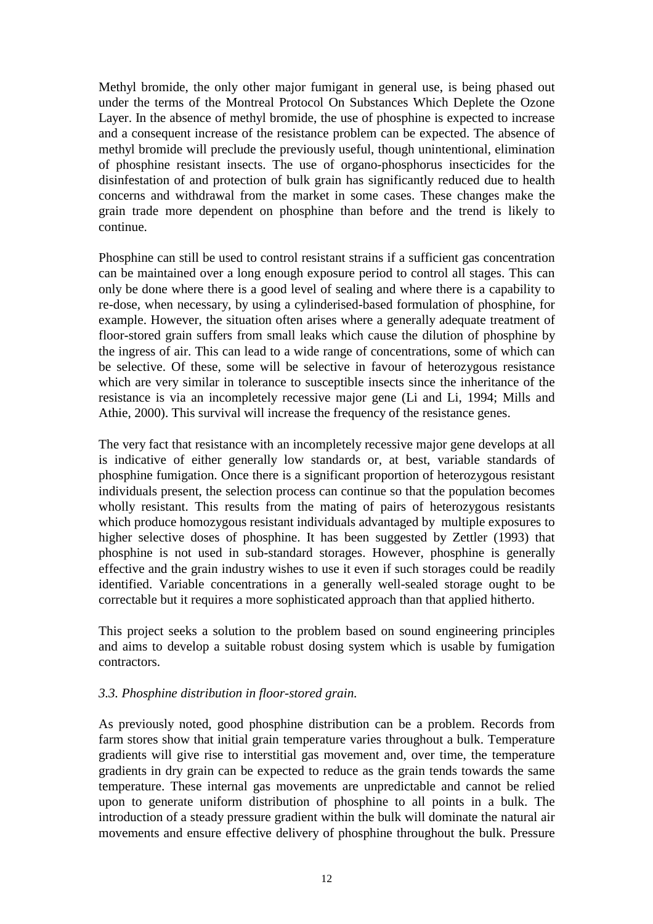Methyl bromide, the only other major fumigant in general use, is being phased out under the terms of the Montreal Protocol On Substances Which Deplete the Ozone Layer. In the absence of methyl bromide, the use of phosphine is expected to increase and a consequent increase of the resistance problem can be expected. The absence of methyl bromide will preclude the previously useful, though unintentional, elimination of phosphine resistant insects. The use of organo-phosphorus insecticides for the disinfestation of and protection of bulk grain has significantly reduced due to health concerns and withdrawal from the market in some cases. These changes make the grain trade more dependent on phosphine than before and the trend is likely to continue.

Phosphine can still be used to control resistant strains if a sufficient gas concentration can be maintained over a long enough exposure period to control all stages. This can only be done where there is a good level of sealing and where there is a capability to re-dose, when necessary, by using a cylinderised-based formulation of phosphine, for example. However, the situation often arises where a generally adequate treatment of floor-stored grain suffers from small leaks which cause the dilution of phosphine by the ingress of air. This can lead to a wide range of concentrations, some of which can be selective. Of these, some will be selective in favour of heterozygous resistance which are very similar in tolerance to susceptible insects since the inheritance of the resistance is via an incompletely recessive major gene (Li and Li, 1994; Mills and Athie, 2000). This survival will increase the frequency of the resistance genes.

The very fact that resistance with an incompletely recessive major gene develops at all is indicative of either generally low standards or, at best, variable standards of phosphine fumigation. Once there is a significant proportion of heterozygous resistant individuals present, the selection process can continue so that the population becomes wholly resistant. This results from the mating of pairs of heterozygous resistants which produce homozygous resistant individuals advantaged by multiple exposures to higher selective doses of phosphine. It has been suggested by Zettler (1993) that phosphine is not used in sub-standard storages. However, phosphine is generally effective and the grain industry wishes to use it even if such storages could be readily identified. Variable concentrations in a generally well-sealed storage ought to be correctable but it requires a more sophisticated approach than that applied hitherto.

This project seeks a solution to the problem based on sound engineering principles and aims to develop a suitable robust dosing system which is usable by fumigation contractors.

#### *3.3. Phosphine distribution in floor-stored grain.*

As previously noted, good phosphine distribution can be a problem. Records from farm stores show that initial grain temperature varies throughout a bulk. Temperature gradients will give rise to interstitial gas movement and, over time, the temperature gradients in dry grain can be expected to reduce as the grain tends towards the same temperature. These internal gas movements are unpredictable and cannot be relied upon to generate uniform distribution of phosphine to all points in a bulk. The introduction of a steady pressure gradient within the bulk will dominate the natural air movements and ensure effective delivery of phosphine throughout the bulk. Pressure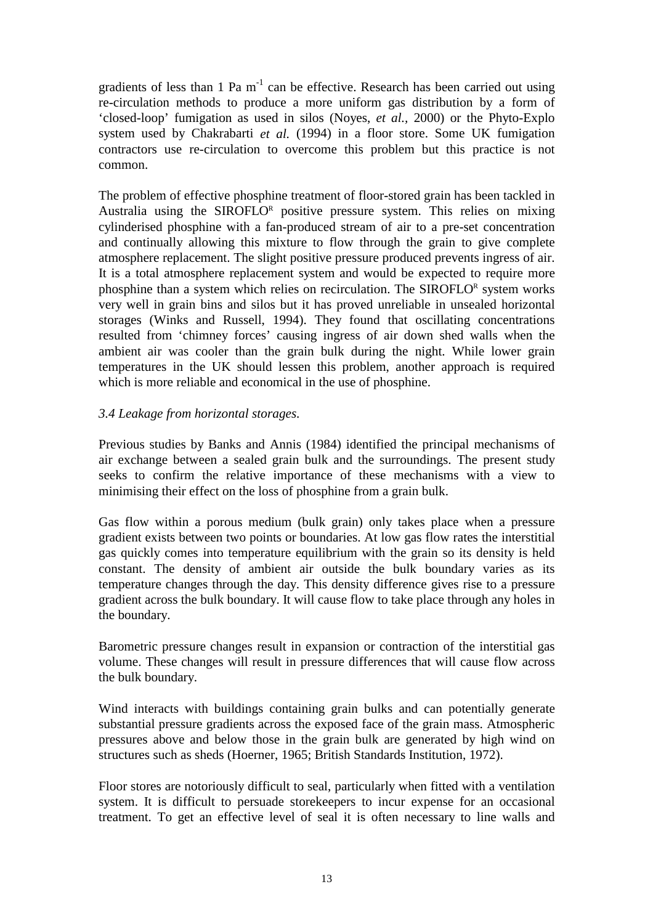gradients of less than 1 Pa  $m^{-1}$  can be effective. Research has been carried out using re-circulation methods to produce a more uniform gas distribution by a form of 'closed-loop' fumigation as used in silos (Noyes, *et al.,* 2000) or the Phyto-Explo system used by Chakrabarti *et al.* (1994) in a floor store. Some UK fumigation contractors use re-circulation to overcome this problem but this practice is not common.

The problem of effective phosphine treatment of floor-stored grain has been tackled in Australia using the SIROFLOR positive pressure system. This relies on mixing cylinderised phosphine with a fan-produced stream of air to a pre-set concentration and continually allowing this mixture to flow through the grain to give complete atmosphere replacement. The slight positive pressure produced prevents ingress of air. It is a total atmosphere replacement system and would be expected to require more phosphine than a system which relies on recirculation. The SIROFLOR system works very well in grain bins and silos but it has proved unreliable in unsealed horizontal storages (Winks and Russell, 1994). They found that oscillating concentrations resulted from 'chimney forces' causing ingress of air down shed walls when the ambient air was cooler than the grain bulk during the night. While lower grain temperatures in the UK should lessen this problem, another approach is required which is more reliable and economical in the use of phosphine.

## *3.4 Leakage from horizontal storages.*

Previous studies by Banks and Annis (1984) identified the principal mechanisms of air exchange between a sealed grain bulk and the surroundings. The present study seeks to confirm the relative importance of these mechanisms with a view to minimising their effect on the loss of phosphine from a grain bulk.

Gas flow within a porous medium (bulk grain) only takes place when a pressure gradient exists between two points or boundaries. At low gas flow rates the interstitial gas quickly comes into temperature equilibrium with the grain so its density is held constant. The density of ambient air outside the bulk boundary varies as its temperature changes through the day. This density difference gives rise to a pressure gradient across the bulk boundary. It will cause flow to take place through any holes in the boundary.

Barometric pressure changes result in expansion or contraction of the interstitial gas volume. These changes will result in pressure differences that will cause flow across the bulk boundary.

Wind interacts with buildings containing grain bulks and can potentially generate substantial pressure gradients across the exposed face of the grain mass. Atmospheric pressures above and below those in the grain bulk are generated by high wind on structures such as sheds (Hoerner, 1965; British Standards Institution, 1972).

Floor stores are notoriously difficult to seal, particularly when fitted with a ventilation system. It is difficult to persuade storekeepers to incur expense for an occasional treatment. To get an effective level of seal it is often necessary to line walls and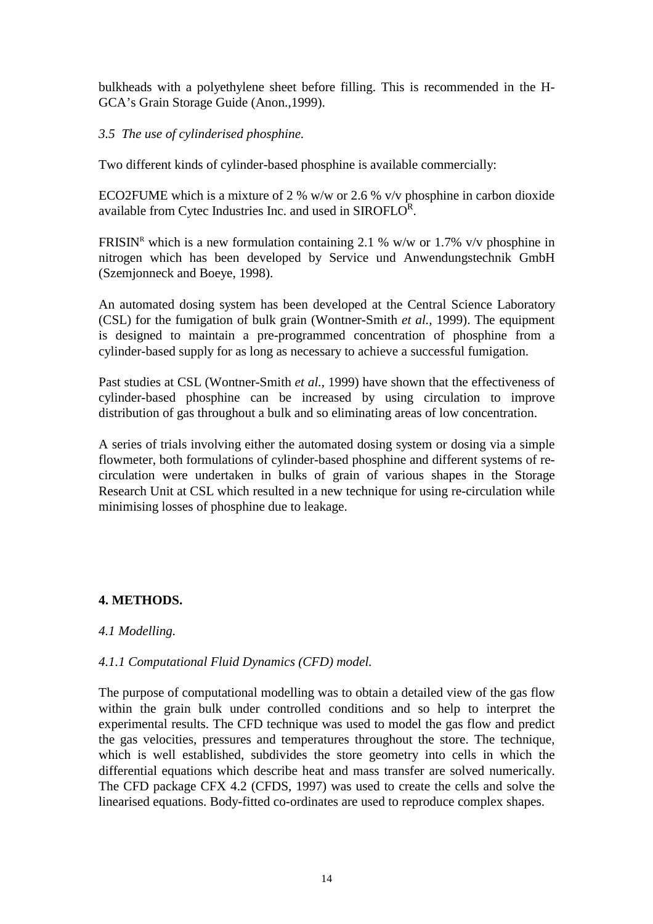bulkheads with a polyethylene sheet before filling. This is recommended in the H-GCA's Grain Storage Guide (Anon.,1999).

#### *3.5 The use of cylinderised phosphine.*

Two different kinds of cylinder-based phosphine is available commercially:

ECO2FUME which is a mixture of 2 % w/w or 2.6 % v/v phosphine in carbon dioxide available from Cytec Industries Inc. and used in SIROFLOR.

FRISIN<sup>R</sup> which is a new formulation containing 2.1 % w/w or 1.7% v/v phosphine in nitrogen which has been developed by Service und Anwendungstechnik GmbH (Szemjonneck and Boeye, 1998).

An automated dosing system has been developed at the Central Science Laboratory (CSL) for the fumigation of bulk grain (Wontner-Smith *et al.,* 1999). The equipment is designed to maintain a pre-programmed concentration of phosphine from a cylinder-based supply for as long as necessary to achieve a successful fumigation.

Past studies at CSL (Wontner-Smith *et al.*, 1999) have shown that the effectiveness of cylinder-based phosphine can be increased by using circulation to improve distribution of gas throughout a bulk and so eliminating areas of low concentration.

A series of trials involving either the automated dosing system or dosing via a simple flowmeter, both formulations of cylinder-based phosphine and different systems of recirculation were undertaken in bulks of grain of various shapes in the Storage Research Unit at CSL which resulted in a new technique for using re-circulation while minimising losses of phosphine due to leakage.

## **4. METHODS.**

#### *4.1 Modelling.*

## *4.1.1 Computational Fluid Dynamics (CFD) model.*

The purpose of computational modelling was to obtain a detailed view of the gas flow within the grain bulk under controlled conditions and so help to interpret the experimental results. The CFD technique was used to model the gas flow and predict the gas velocities, pressures and temperatures throughout the store. The technique, which is well established, subdivides the store geometry into cells in which the differential equations which describe heat and mass transfer are solved numerically. The CFD package CFX 4.2 (CFDS, 1997) was used to create the cells and solve the linearised equations. Body-fitted co-ordinates are used to reproduce complex shapes.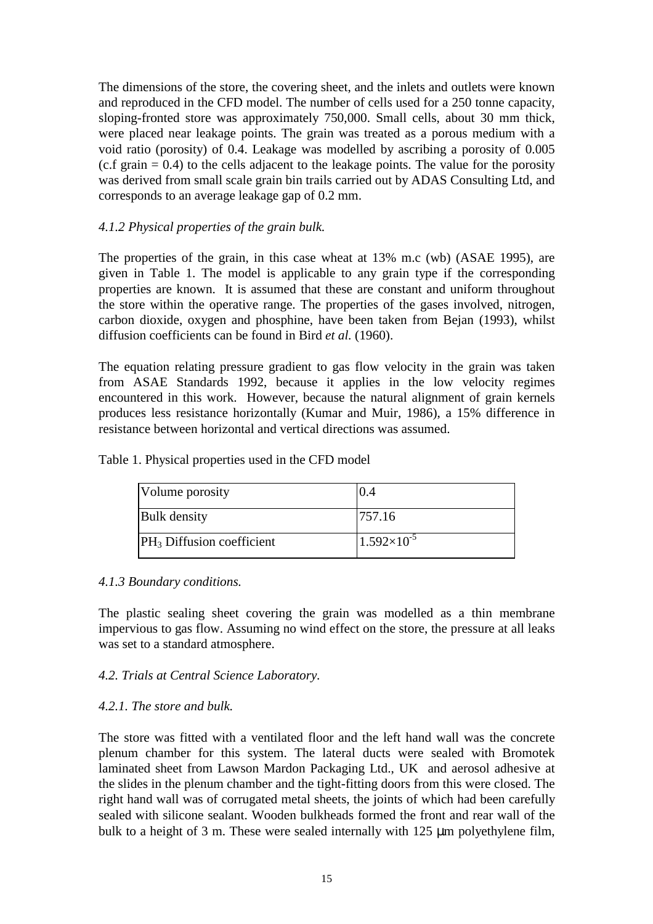The dimensions of the store, the covering sheet, and the inlets and outlets were known and reproduced in the CFD model. The number of cells used for a 250 tonne capacity, sloping-fronted store was approximately 750,000. Small cells, about 30 mm thick, were placed near leakage points. The grain was treated as a porous medium with a void ratio (porosity) of 0.4. Leakage was modelled by ascribing a porosity of 0.005  $(c.f. \text{ grain} = 0.4)$  to the cells adjacent to the leakage points. The value for the porosity was derived from small scale grain bin trails carried out by ADAS Consulting Ltd, and corresponds to an average leakage gap of 0.2 mm.

### *4.1.2 Physical properties of the grain bulk.*

The properties of the grain, in this case wheat at 13% m.c (wb) (ASAE 1995), are given in Table 1. The model is applicable to any grain type if the corresponding properties are known. It is assumed that these are constant and uniform throughout the store within the operative range. The properties of the gases involved, nitrogen, carbon dioxide, oxygen and phosphine, have been taken from Bejan (1993), whilst diffusion coefficients can be found in Bird *et al.* (1960).

The equation relating pressure gradient to gas flow velocity in the grain was taken from ASAE Standards 1992, because it applies in the low velocity regimes encountered in this work. However, because the natural alignment of grain kernels produces less resistance horizontally (Kumar and Muir, 1986), a 15% difference in resistance between horizontal and vertical directions was assumed.

| Volume porosity              | (0.4)                |
|------------------------------|----------------------|
| <b>Bulk</b> density          | 757.16               |
| $PH_3$ Diffusion coefficient | $1.592\times10^{-5}$ |

Table 1. Physical properties used in the CFD model

#### *4.1.3 Boundary conditions.*

The plastic sealing sheet covering the grain was modelled as a thin membrane impervious to gas flow. Assuming no wind effect on the store, the pressure at all leaks was set to a standard atmosphere.

#### *4.2. Trials at Central Science Laboratory.*

#### *4.2.1. The store and bulk.*

The store was fitted with a ventilated floor and the left hand wall was the concrete plenum chamber for this system. The lateral ducts were sealed with Bromotek laminated sheet from Lawson Mardon Packaging Ltd., UK and aerosol adhesive at the slides in the plenum chamber and the tight-fitting doors from this were closed. The right hand wall was of corrugated metal sheets, the joints of which had been carefully sealed with silicone sealant. Wooden bulkheads formed the front and rear wall of the bulk to a height of 3 m. These were sealed internally with 125 µm polyethylene film,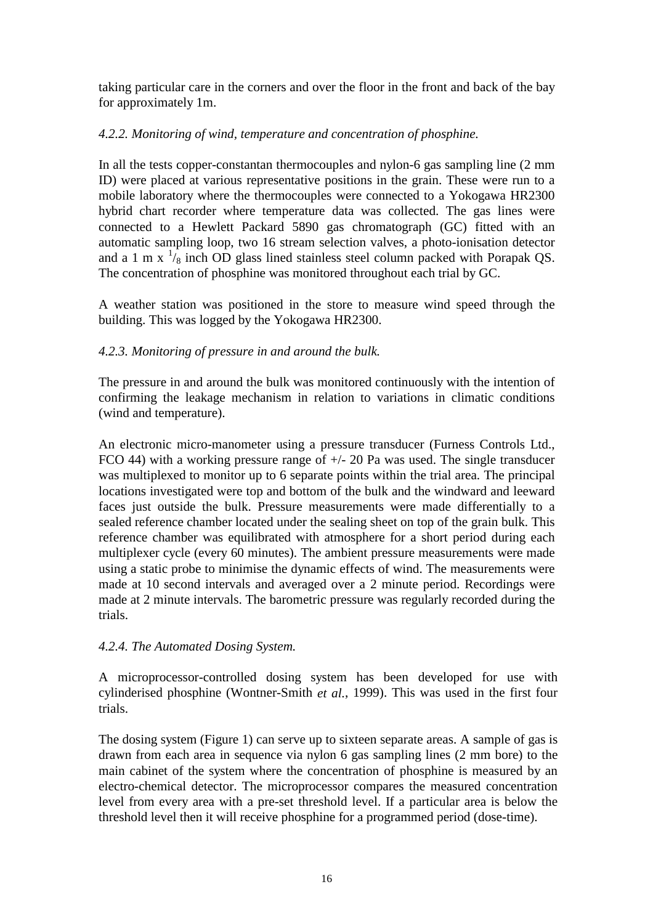taking particular care in the corners and over the floor in the front and back of the bay for approximately 1m.

# *4.2.2. Monitoring of wind, temperature and concentration of phosphine.*

In all the tests copper-constantan thermocouples and nylon-6 gas sampling line (2 mm ID) were placed at various representative positions in the grain. These were run to a mobile laboratory where the thermocouples were connected to a Yokogawa HR2300 hybrid chart recorder where temperature data was collected. The gas lines were connected to a Hewlett Packard 5890 gas chromatograph (GC) fitted with an automatic sampling loop, two 16 stream selection valves, a photo-ionisation detector and a 1 m x  $\frac{1}{8}$  inch OD glass lined stainless steel column packed with Porapak QS. The concentration of phosphine was monitored throughout each trial by GC.

A weather station was positioned in the store to measure wind speed through the building. This was logged by the Yokogawa HR2300.

# *4.2.3. Monitoring of pressure in and around the bulk.*

The pressure in and around the bulk was monitored continuously with the intention of confirming the leakage mechanism in relation to variations in climatic conditions (wind and temperature).

An electronic micro-manometer using a pressure transducer (Furness Controls Ltd., FCO 44) with a working pressure range of +/- 20 Pa was used. The single transducer was multiplexed to monitor up to 6 separate points within the trial area. The principal locations investigated were top and bottom of the bulk and the windward and leeward faces just outside the bulk. Pressure measurements were made differentially to a sealed reference chamber located under the sealing sheet on top of the grain bulk. This reference chamber was equilibrated with atmosphere for a short period during each multiplexer cycle (every 60 minutes). The ambient pressure measurements were made using a static probe to minimise the dynamic effects of wind. The measurements were made at 10 second intervals and averaged over a 2 minute period. Recordings were made at 2 minute intervals. The barometric pressure was regularly recorded during the trials.

## *4.2.4. The Automated Dosing System.*

A microprocessor-controlled dosing system has been developed for use with cylinderised phosphine (Wontner-Smith *et al.*, 1999). This was used in the first four trials.

The dosing system (Figure 1) can serve up to sixteen separate areas. A sample of gas is drawn from each area in sequence via nylon 6 gas sampling lines (2 mm bore) to the main cabinet of the system where the concentration of phosphine is measured by an electro-chemical detector. The microprocessor compares the measured concentration level from every area with a pre-set threshold level. If a particular area is below the threshold level then it will receive phosphine for a programmed period (dose-time).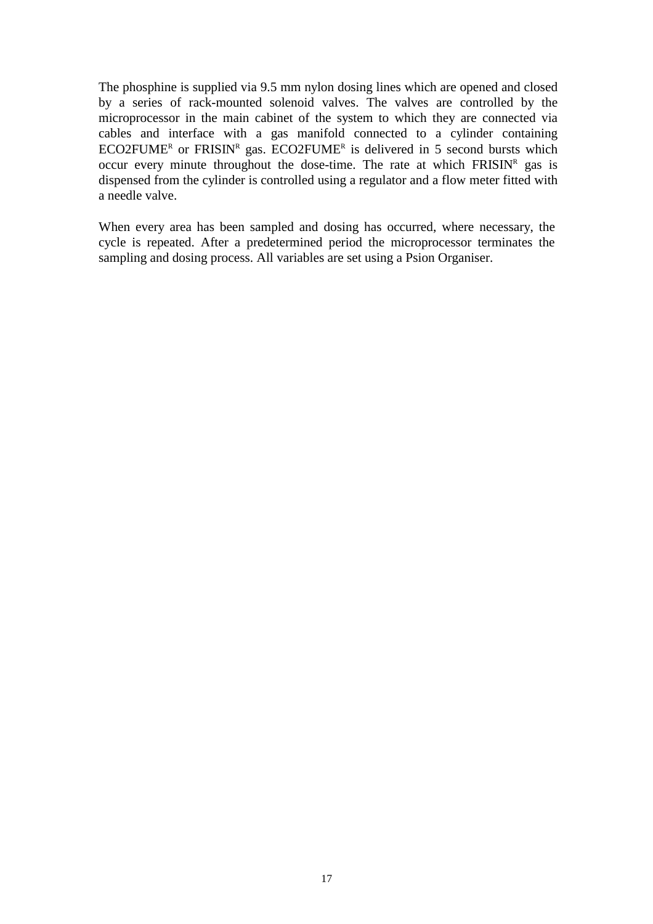The phosphine is supplied via 9.5 mm nylon dosing lines which are opened and closed by a series of rack-mounted solenoid valves. The valves are controlled by the microprocessor in the main cabinet of the system to which they are connected via cables and interface with a gas manifold connected to a cylinder containing  $ECO2$ FUME<sup>R</sup> or FRISIN<sup>R</sup> gas. ECO2FUME<sup>R</sup> is delivered in 5 second bursts which occur every minute throughout the dose-time. The rate at which  $FRISIN<sup>R</sup>$  gas is dispensed from the cylinder is controlled using a regulator and a flow meter fitted with a needle valve.

When every area has been sampled and dosing has occurred, where necessary, the cycle is repeated. After a predetermined period the microprocessor terminates the sampling and dosing process. All variables are set using a Psion Organiser.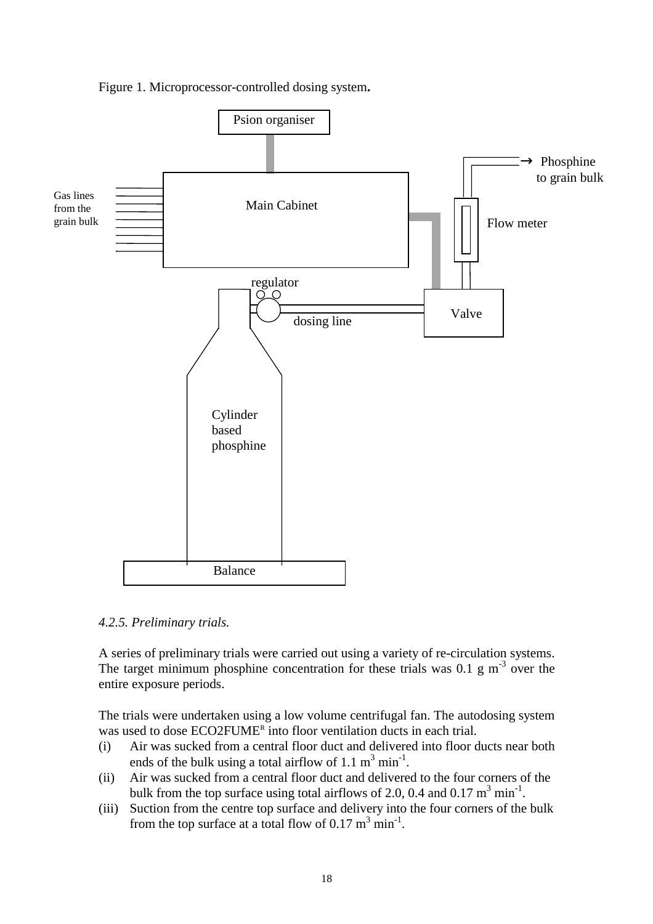



*4.2.5. Preliminary trials.*

A series of preliminary trials were carried out using a variety of re-circulation systems. The target minimum phosphine concentration for these trials was  $0.1 \text{ g m}^{-3}$  over the entire exposure periods.

The trials were undertaken using a low volume centrifugal fan. The autodosing system was used to dose ECO2FUME<sup>R</sup> into floor ventilation ducts in each trial.

- (i) Air was sucked from a central floor duct and delivered into floor ducts near both ends of the bulk using a total airflow of 1.1  $m^3$  min<sup>-1</sup>.
- (ii) Air was sucked from a central floor duct and delivered to the four corners of the bulk from the top surface using total airflows of 2.0, 0.4 and 0.17  $m^3$  min<sup>-1</sup>.
- (iii) Suction from the centre top surface and delivery into the four corners of the bulk from the top surface at a total flow of  $0.17 \text{ m}^3 \text{ min}^{-1}$ .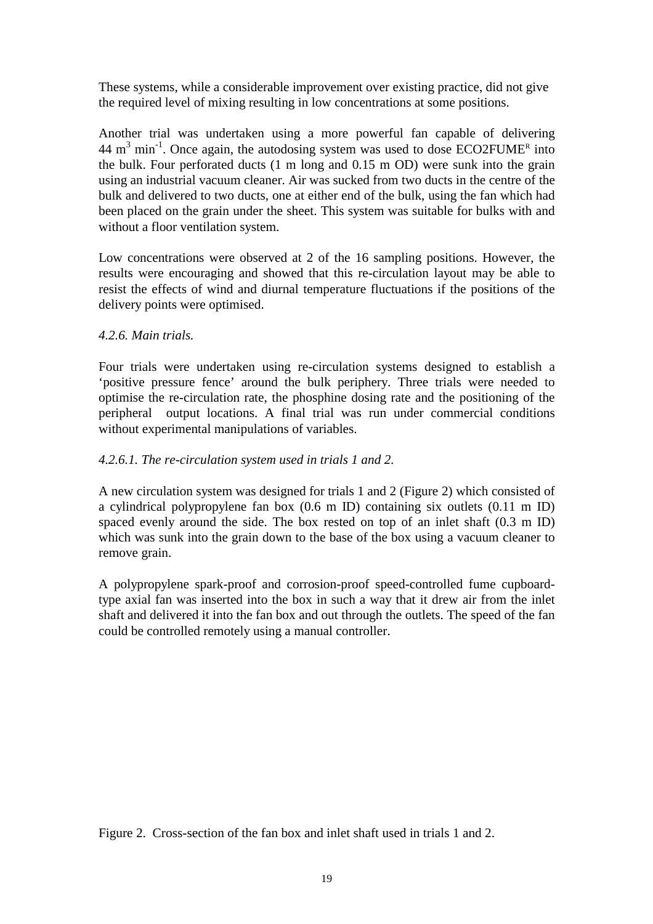These systems, while a considerable improvement over existing practice, did not give the required level of mixing resulting in low concentrations at some positions.

Another trial was undertaken using a more powerful fan capable of delivering  $44 \text{ m}^3 \text{ min}^{-1}$ . Once again, the autodosing system was used to dose ECO2FUME<sup>R</sup> into the bulk. Four perforated ducts (1 m long and 0.15 m OD) were sunk into the grain using an industrial vacuum cleaner. Air was sucked from two ducts in the centre of the bulk and delivered to two ducts, one at either end of the bulk, using the fan which had been placed on the grain under the sheet. This system was suitable for bulks with and without a floor ventilation system.

Low concentrations were observed at 2 of the 16 sampling positions. However, the results were encouraging and showed that this re-circulation layout may be able to resist the effects of wind and diurnal temperature fluctuations if the positions of the delivery points were optimised.

## *4.2.6. Main trials.*

Four trials were undertaken using re-circulation systems designed to establish a 'positive pressure fence' around the bulk periphery. Three trials were needed to optimise the re-circulation rate, the phosphine dosing rate and the positioning of the peripheral output locations. A final trial was run under commercial conditions without experimental manipulations of variables.

## *4.2.6.1. The re-circulation system used in trials 1 and 2.*

A new circulation system was designed for trials 1 and 2 (Figure 2) which consisted of a cylindrical polypropylene fan box (0.6 m ID) containing six outlets (0.11 m ID) spaced evenly around the side. The box rested on top of an inlet shaft (0.3 m ID) which was sunk into the grain down to the base of the box using a vacuum cleaner to remove grain.

A polypropylene spark-proof and corrosion-proof speed-controlled fume cupboardtype axial fan was inserted into the box in such a way that it drew air from the inlet shaft and delivered it into the fan box and out through the outlets. The speed of the fan could be controlled remotely using a manual controller.

Figure 2. Cross-section of the fan box and inlet shaft used in trials 1 and 2.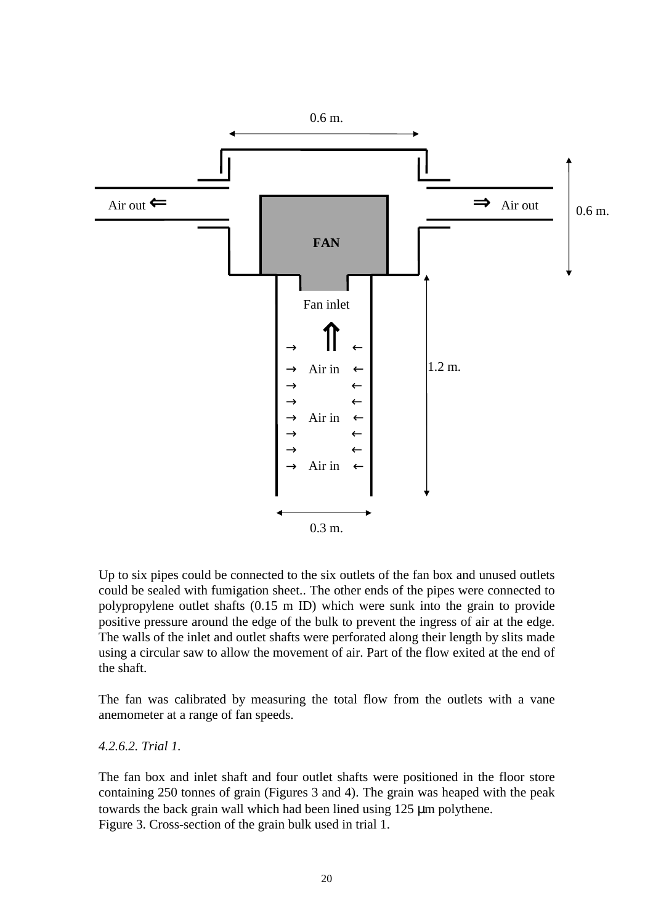

Up to six pipes could be connected to the six outlets of the fan box and unused outlets could be sealed with fumigation sheet.. The other ends of the pipes were connected to polypropylene outlet shafts (0.15 m ID) which were sunk into the grain to provide positive pressure around the edge of the bulk to prevent the ingress of air at the edge. The walls of the inlet and outlet shafts were perforated along their length by slits made using a circular saw to allow the movement of air. Part of the flow exited at the end of the shaft.

The fan was calibrated by measuring the total flow from the outlets with a vane anemometer at a range of fan speeds.

*4.2.6.2. Trial 1.*

The fan box and inlet shaft and four outlet shafts were positioned in the floor store containing 250 tonnes of grain (Figures 3 and 4). The grain was heaped with the peak towards the back grain wall which had been lined using 125 µm polythene. Figure 3. Cross-section of the grain bulk used in trial 1.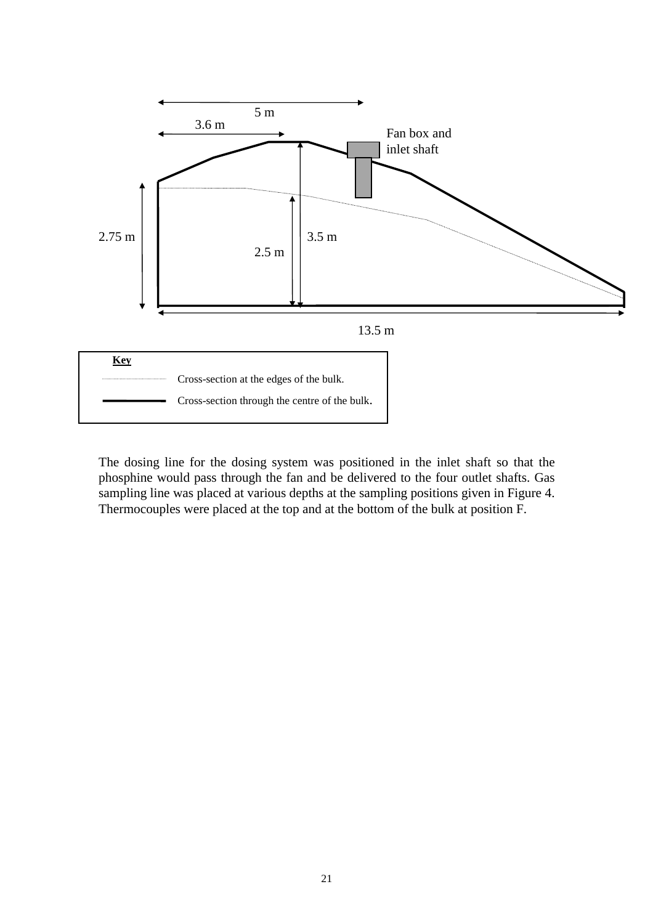

The dosing line for the dosing system was positioned in the inlet shaft so that the phosphine would pass through the fan and be delivered to the four outlet shafts. Gas sampling line was placed at various depths at the sampling positions given in Figure 4. Thermocouples were placed at the top and at the bottom of the bulk at position F.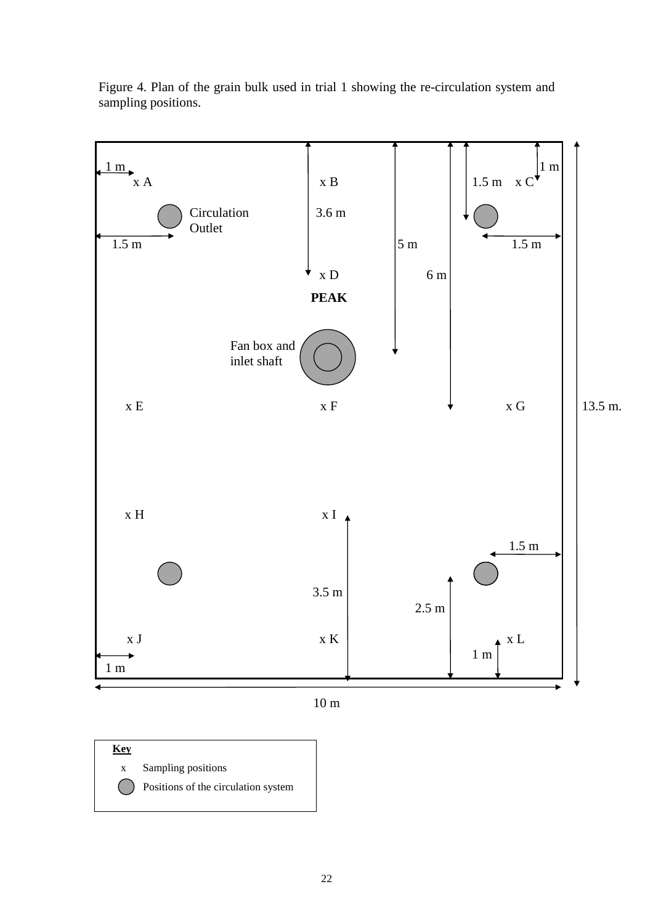

Figure 4. Plan of the grain bulk used in trial 1 showing the re-circulation system and sampling positions.



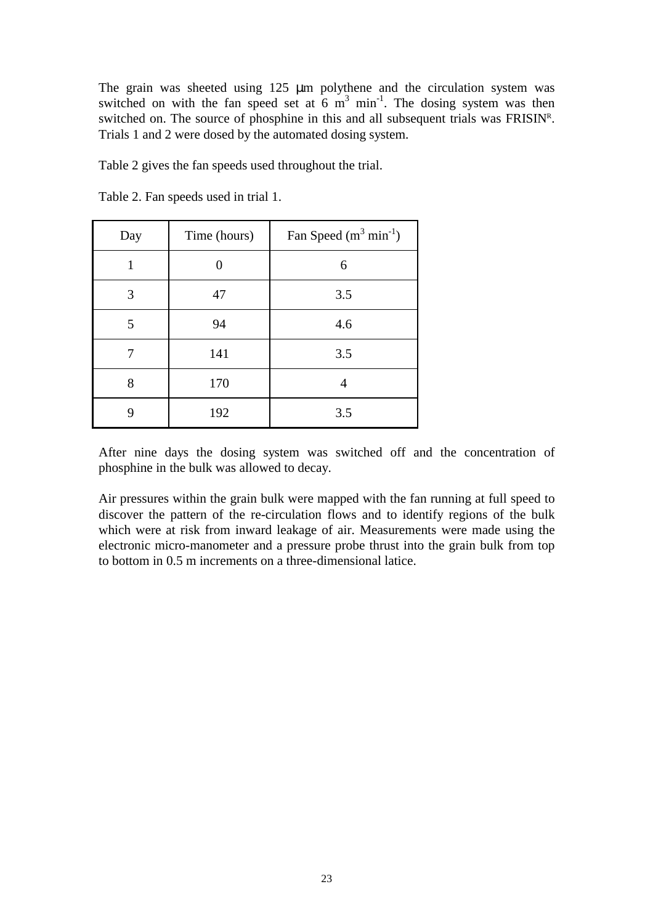The grain was sheeted using 125  $\mu$ m polythene and the circulation system was switched on with the fan speed set at  $6 \text{ m}^3$  min<sup>-1</sup>. The dosing system was then switched on. The source of phosphine in this and all subsequent trials was  $FRISIN<sup>R</sup>$ . Trials 1 and 2 were dosed by the automated dosing system.

Table 2 gives the fan speeds used throughout the trial.

| Day | Time (hours) | Fan Speed $(m^3 min^{-1})$ |
|-----|--------------|----------------------------|
|     |              | 6                          |
| 3   | 47           | 3.5                        |
| 5   | 94           | 4.6                        |
|     | 141          | 3.5                        |
| 8   | 170          | 4                          |
|     | 192          | 3.5                        |

Table 2. Fan speeds used in trial 1.

After nine days the dosing system was switched off and the concentration of phosphine in the bulk was allowed to decay.

Air pressures within the grain bulk were mapped with the fan running at full speed to discover the pattern of the re-circulation flows and to identify regions of the bulk which were at risk from inward leakage of air. Measurements were made using the electronic micro-manometer and a pressure probe thrust into the grain bulk from top to bottom in 0.5 m increments on a three-dimensional latice.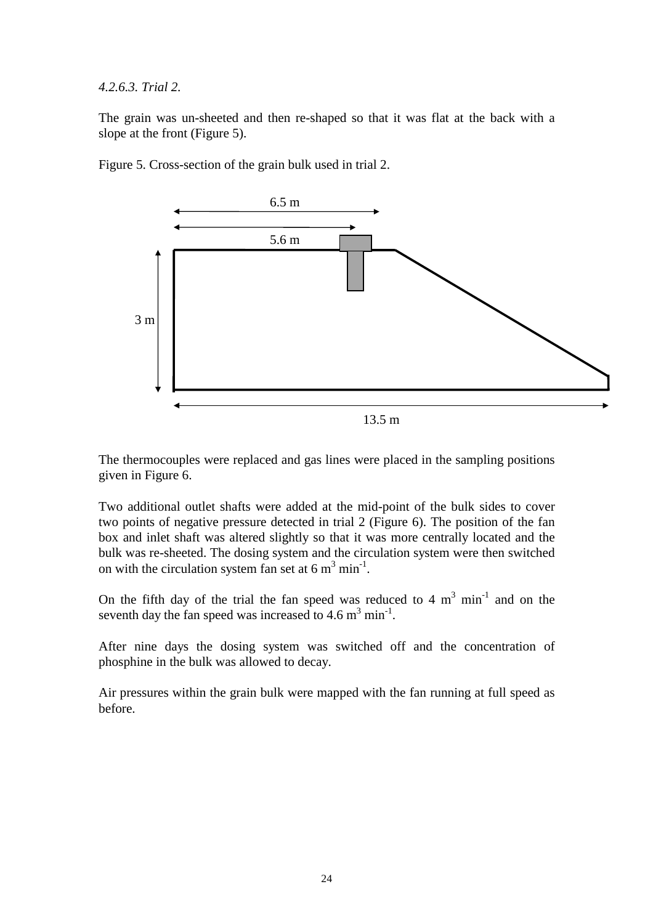#### *4.2.6.3. Trial 2.*

The grain was un-sheeted and then re-shaped so that it was flat at the back with a slope at the front (Figure 5).



Figure 5. Cross-section of the grain bulk used in trial 2.

The thermocouples were replaced and gas lines were placed in the sampling positions given in Figure 6.

Two additional outlet shafts were added at the mid-point of the bulk sides to cover two points of negative pressure detected in trial 2 (Figure 6). The position of the fan box and inlet shaft was altered slightly so that it was more centrally located and the bulk was re-sheeted. The dosing system and the circulation system were then switched on with the circulation system fan set at  $6 \text{ m}^3 \text{ min}^{-1}$ .

On the fifth day of the trial the fan speed was reduced to 4  $m<sup>3</sup>$  min<sup>-1</sup> and on the seventh day the fan speed was increased to  $4.6 \text{ m}^3 \text{ min}^{-1}$ .

After nine days the dosing system was switched off and the concentration of phosphine in the bulk was allowed to decay.

Air pressures within the grain bulk were mapped with the fan running at full speed as before.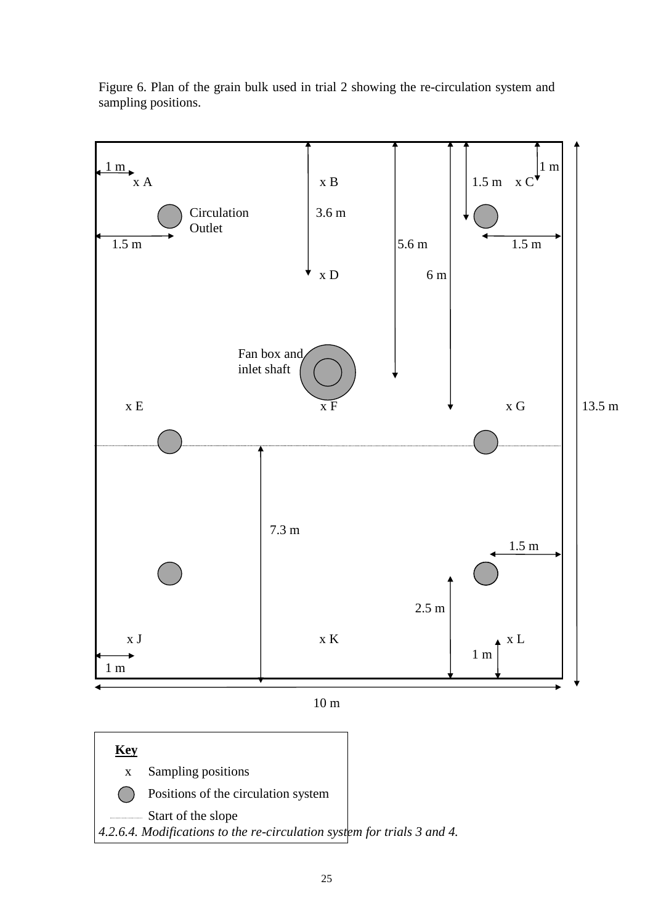

Figure 6. Plan of the grain bulk used in trial 2 showing the re-circulation system and sampling positions.



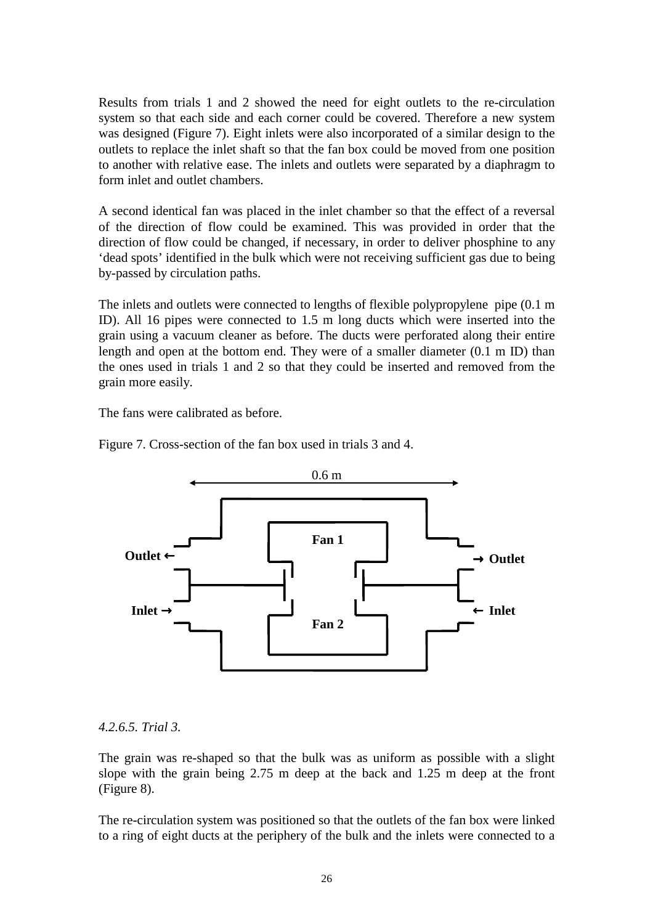Results from trials 1 and 2 showed the need for eight outlets to the re-circulation system so that each side and each corner could be covered. Therefore a new system was designed (Figure 7). Eight inlets were also incorporated of a similar design to the outlets to replace the inlet shaft so that the fan box could be moved from one position to another with relative ease. The inlets and outlets were separated by a diaphragm to form inlet and outlet chambers.

A second identical fan was placed in the inlet chamber so that the effect of a reversal of the direction of flow could be examined. This was provided in order that the direction of flow could be changed, if necessary, in order to deliver phosphine to any 'dead spots' identified in the bulk which were not receiving sufficient gas due to being by-passed by circulation paths.

The inlets and outlets were connected to lengths of flexible polypropylene pipe (0.1 m ID). All 16 pipes were connected to 1.5 m long ducts which were inserted into the grain using a vacuum cleaner as before. The ducts were perforated along their entire length and open at the bottom end. They were of a smaller diameter (0.1 m ID) than the ones used in trials 1 and 2 so that they could be inserted and removed from the grain more easily.

The fans were calibrated as before.

Figure 7. Cross-section of the fan box used in trials 3 and 4.



#### *4.2.6.5. Trial 3.*

The grain was re-shaped so that the bulk was as uniform as possible with a slight slope with the grain being 2.75 m deep at the back and 1.25 m deep at the front (Figure 8).

The re-circulation system was positioned so that the outlets of the fan box were linked to a ring of eight ducts at the periphery of the bulk and the inlets were connected to a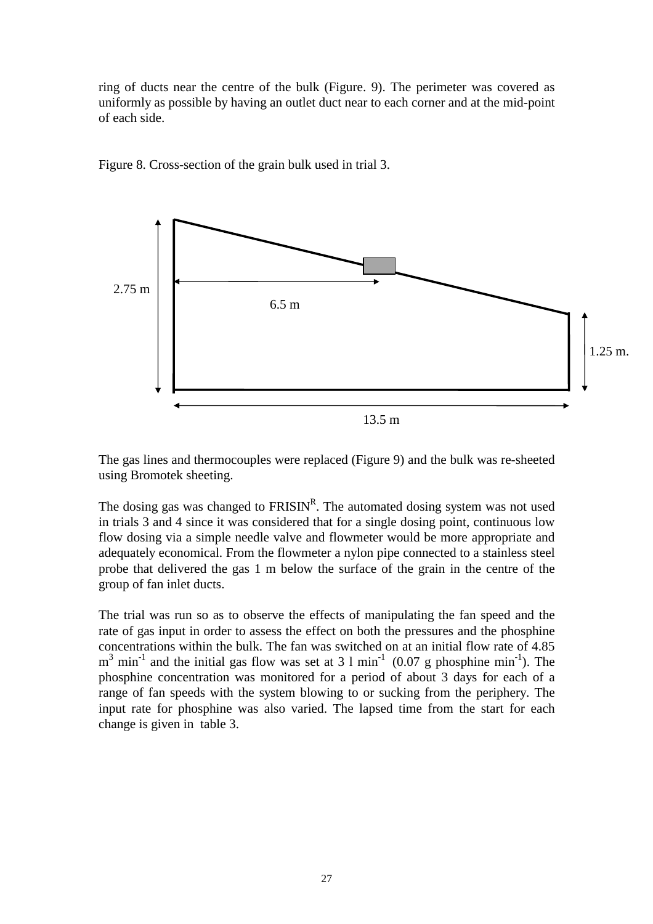ring of ducts near the centre of the bulk (Figure. 9). The perimeter was covered as uniformly as possible by having an outlet duct near to each corner and at the mid-point of each side.



Figure 8. Cross-section of the grain bulk used in trial 3.

The gas lines and thermocouples were replaced (Figure 9) and the bulk was re-sheeted using Bromotek sheeting.

The dosing gas was changed to  $FRISIN<sup>R</sup>$ . The automated dosing system was not used in trials 3 and 4 since it was considered that for a single dosing point, continuous low flow dosing via a simple needle valve and flowmeter would be more appropriate and adequately economical. From the flowmeter a nylon pipe connected to a stainless steel probe that delivered the gas 1 m below the surface of the grain in the centre of the group of fan inlet ducts.

The trial was run so as to observe the effects of manipulating the fan speed and the rate of gas input in order to assess the effect on both the pressures and the phosphine concentrations within the bulk. The fan was switched on at an initial flow rate of 4.85  $m<sup>3</sup>$  min<sup>-1</sup> and the initial gas flow was set at 3 l min<sup>-1</sup> (0.07 g phosphine min<sup>-1</sup>). The phosphine concentration was monitored for a period of about 3 days for each of a range of fan speeds with the system blowing to or sucking from the periphery. The input rate for phosphine was also varied. The lapsed time from the start for each change is given in table 3.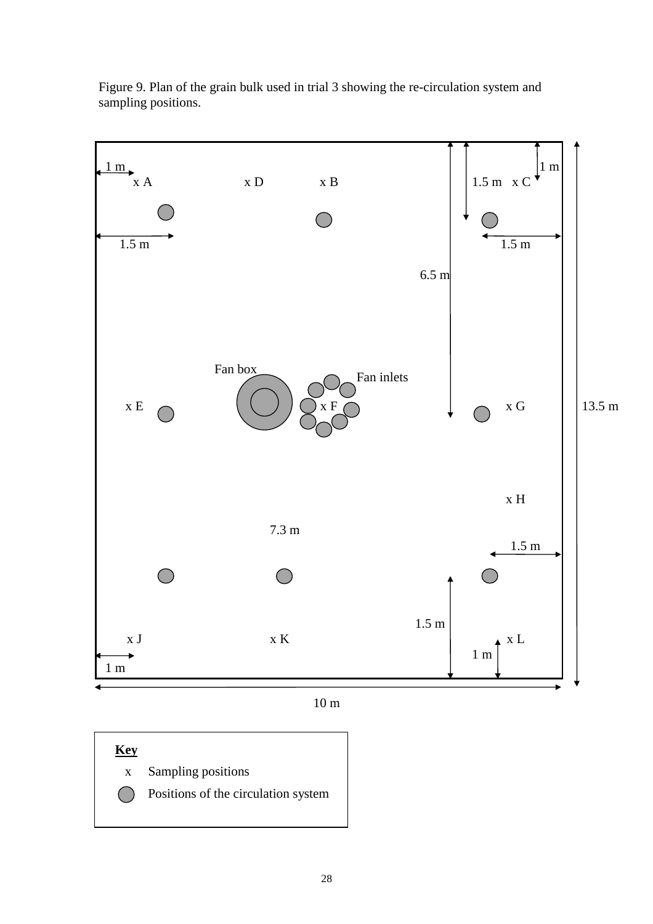

Figure 9. Plan of the grain bulk used in trial 3 showing the re-circulation system and sampling positions.

10 m

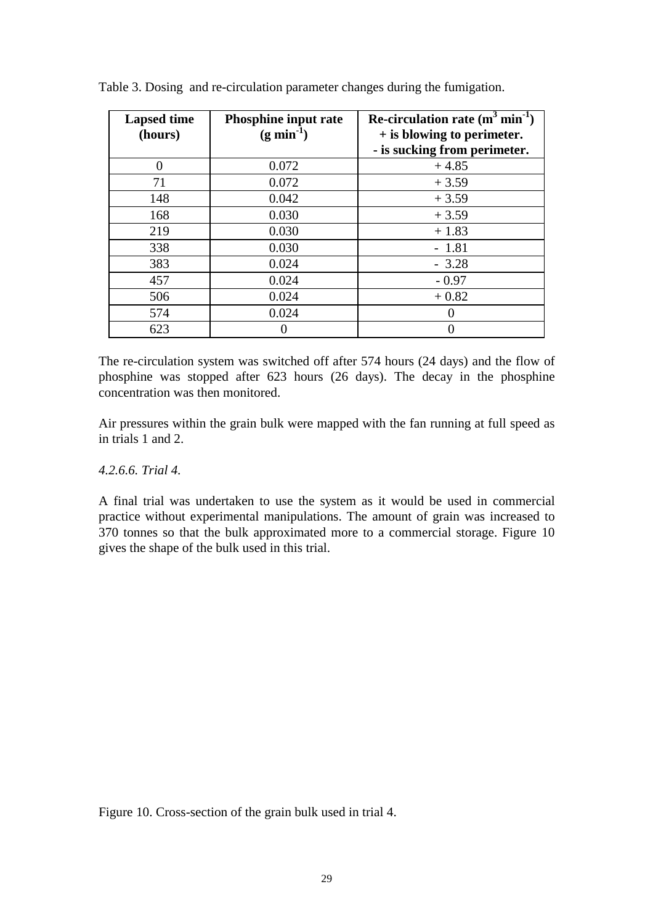| <b>Lapsed time</b><br>(hours) | Phosphine input rate<br>$(g min-1)$ | Re-circulation rate $(m^3 min^{-1})$<br>+ is blowing to perimeter.<br>- is sucking from perimeter. |
|-------------------------------|-------------------------------------|----------------------------------------------------------------------------------------------------|
| 0                             | 0.072                               | $+4.85$                                                                                            |
| 71                            | 0.072                               | $+3.59$                                                                                            |
| 148                           | 0.042                               | $+3.59$                                                                                            |
| 168                           | 0.030                               | $+3.59$                                                                                            |
| 219                           | 0.030                               | $+1.83$                                                                                            |
| 338                           | 0.030                               | $-1.81$                                                                                            |
| 383                           | 0.024                               | $-3.28$                                                                                            |
| 457                           | 0.024                               | $-0.97$                                                                                            |
| 506                           | 0.024                               | $+0.82$                                                                                            |
| 574                           | 0.024                               |                                                                                                    |
| 623                           |                                     |                                                                                                    |

Table 3. Dosing and re-circulation parameter changes during the fumigation.

The re-circulation system was switched off after 574 hours (24 days) and the flow of phosphine was stopped after 623 hours (26 days). The decay in the phosphine concentration was then monitored.

Air pressures within the grain bulk were mapped with the fan running at full speed as in trials 1 and 2.

#### *4.2.6.6. Trial 4.*

A final trial was undertaken to use the system as it would be used in commercial practice without experimental manipulations. The amount of grain was increased to 370 tonnes so that the bulk approximated more to a commercial storage. Figure 10 gives the shape of the bulk used in this trial.

Figure 10. Cross-section of the grain bulk used in trial 4.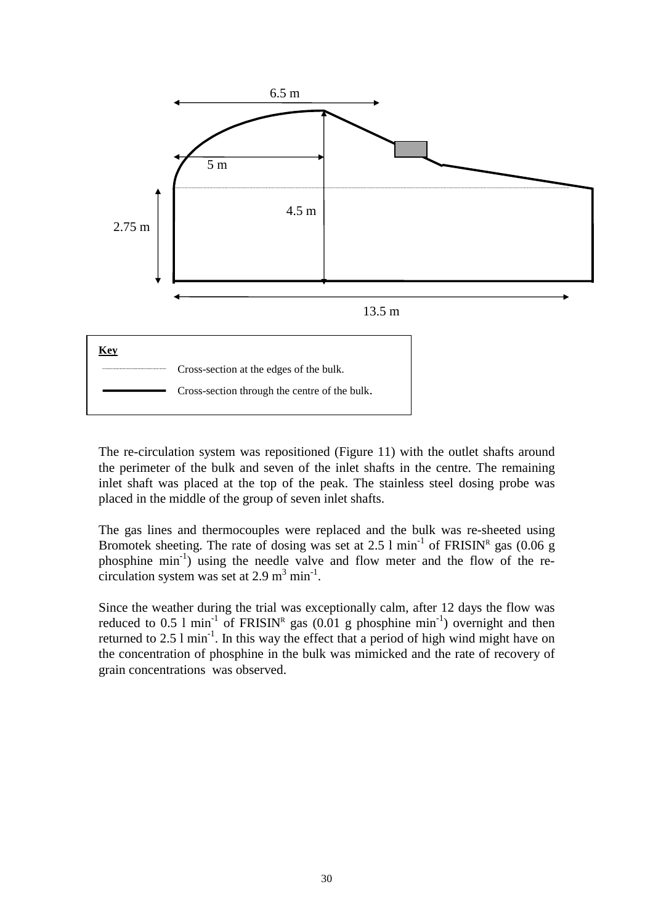

The re-circulation system was repositioned (Figure 11) with the outlet shafts around the perimeter of the bulk and seven of the inlet shafts in the centre. The remaining inlet shaft was placed at the top of the peak. The stainless steel dosing probe was placed in the middle of the group of seven inlet shafts.

The gas lines and thermocouples were replaced and the bulk was re-sheeted using Bromotek sheeting. The rate of dosing was set at 2.5  $1 \text{ min}^{-1}$  of FRISIN<sup>R</sup> gas (0.06 g phosphine min-1) using the needle valve and flow meter and the flow of the recirculation system was set at  $2.9 \text{ m}^3 \text{ min}^{-1}$ .

Since the weather during the trial was exceptionally calm, after 12 days the flow was reduced to 0.5 1 min<sup>-1</sup> of FRISIN<sup>R</sup> gas (0.01 g phosphine min<sup>-1</sup>) overnight and then returned to 2.5  $\text{1 min}^{-1}$ . In this way the effect that a period of high wind might have on the concentration of phosphine in the bulk was mimicked and the rate of recovery of grain concentrations was observed.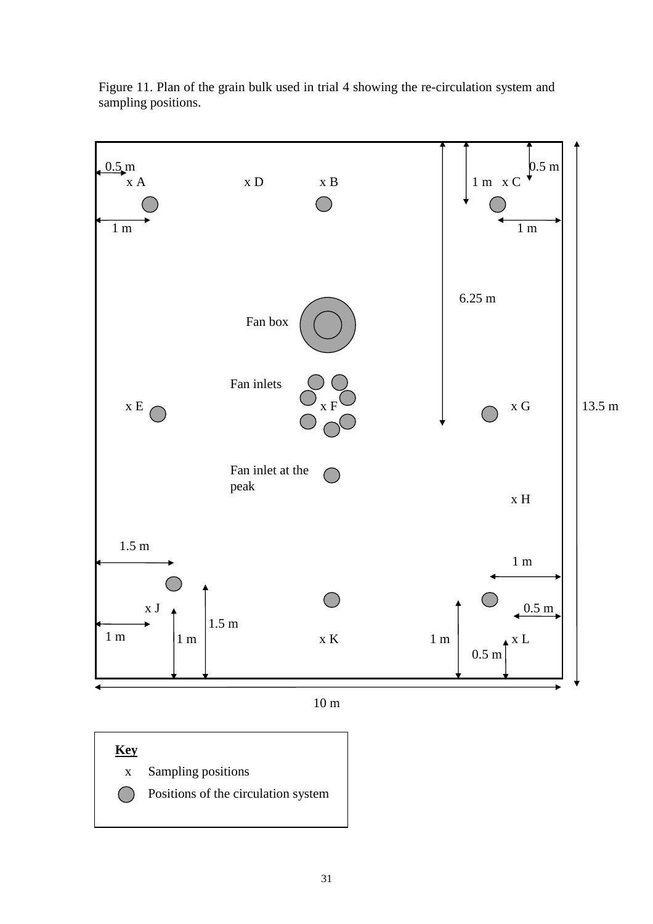

Figure 11. Plan of the grain bulk used in trial 4 showing the re-circulation system and sampling positions.

10 m

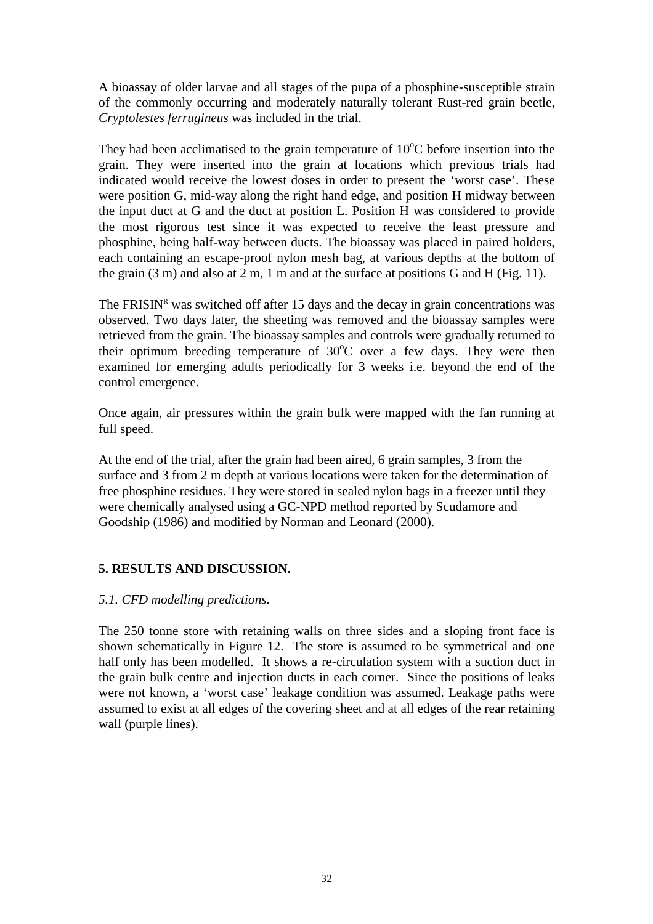A bioassay of older larvae and all stages of the pupa of a phosphine-susceptible strain of the commonly occurring and moderately naturally tolerant Rust-red grain beetle, *Cryptolestes ferrugineus* was included in the trial.

They had been acclimatised to the grain temperature of  $10^{\circ}$ C before insertion into the grain. They were inserted into the grain at locations which previous trials had indicated would receive the lowest doses in order to present the 'worst case'. These were position G, mid-way along the right hand edge, and position H midway between the input duct at G and the duct at position L. Position H was considered to provide the most rigorous test since it was expected to receive the least pressure and phosphine, being half-way between ducts. The bioassay was placed in paired holders, each containing an escape-proof nylon mesh bag, at various depths at the bottom of the grain (3 m) and also at 2 m, 1 m and at the surface at positions G and H (Fig. 11).

The FRISIN<sup>R</sup> was switched off after 15 days and the decay in grain concentrations was observed. Two days later, the sheeting was removed and the bioassay samples were retrieved from the grain. The bioassay samples and controls were gradually returned to their optimum breeding temperature of  $30^{\circ}$ C over a few days. They were then examined for emerging adults periodically for 3 weeks i.e. beyond the end of the control emergence.

Once again, air pressures within the grain bulk were mapped with the fan running at full speed.

At the end of the trial, after the grain had been aired, 6 grain samples, 3 from the surface and 3 from 2 m depth at various locations were taken for the determination of free phosphine residues. They were stored in sealed nylon bags in a freezer until they were chemically analysed using a GC-NPD method reported by Scudamore and Goodship (1986) and modified by Norman and Leonard (2000).

## **5. RESULTS AND DISCUSSION.**

## *5.1. CFD modelling predictions.*

The 250 tonne store with retaining walls on three sides and a sloping front face is shown schematically in Figure 12. The store is assumed to be symmetrical and one half only has been modelled. It shows a re-circulation system with a suction duct in the grain bulk centre and injection ducts in each corner. Since the positions of leaks were not known, a 'worst case' leakage condition was assumed. Leakage paths were assumed to exist at all edges of the covering sheet and at all edges of the rear retaining wall (purple lines).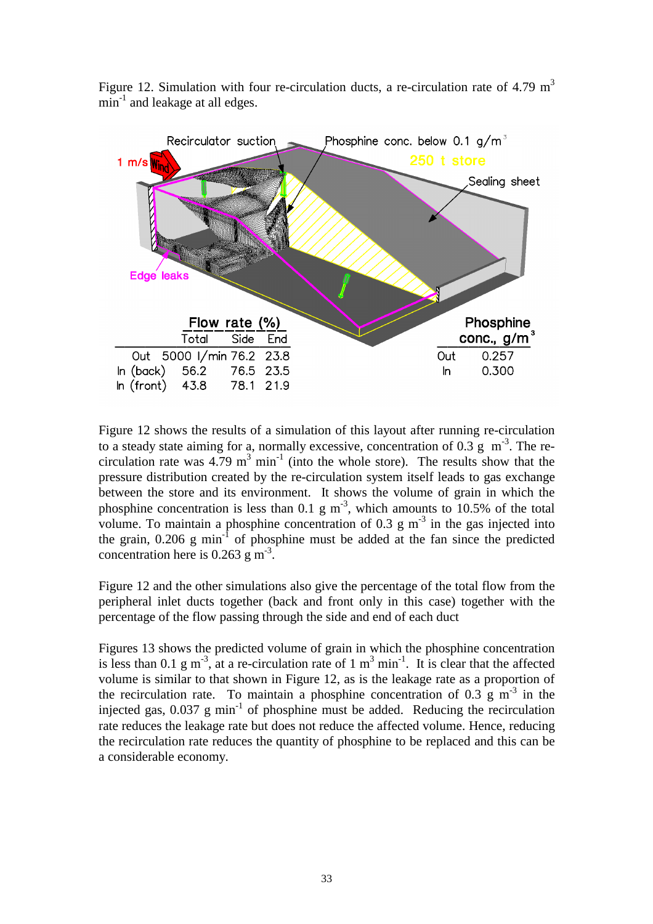

Figure 12. Simulation with four re-circulation ducts, a re-circulation rate of 4.79  $m<sup>3</sup>$  $min^{-1}$  and leakage at all edges.

Figure 12 shows the results of a simulation of this layout after running re-circulation to a steady state aiming for a, normally excessive, concentration of 0.3 g  $m<sup>-3</sup>$ . The recirculation rate was  $4.79 \text{ m}^3 \text{ min}^{-1}$  (into the whole store). The results show that the pressure distribution created by the re-circulation system itself leads to gas exchange between the store and its environment. It shows the volume of grain in which the phosphine concentration is less than 0.1 g  $m^{-3}$ , which amounts to 10.5% of the total volume. To maintain a phosphine concentration of 0.3 g  $m<sup>-3</sup>$  in the gas injected into the grain,  $0.206$  g min<sup>-1</sup> of phosphine must be added at the fan since the predicted concentration here is  $0.263$  g m<sup>-3</sup>.

Figure 12 and the other simulations also give the percentage of the total flow from the peripheral inlet ducts together (back and front only in this case) together with the percentage of the flow passing through the side and end of each duct

Figures 13 shows the predicted volume of grain in which the phosphine concentration is less than 0.1 g m<sup>-3</sup>, at a re-circulation rate of 1 m<sup>3</sup> min<sup>-1</sup>. It is clear that the affected volume is similar to that shown in Figure 12, as is the leakage rate as a proportion of the recirculation rate. To maintain a phosphine concentration of 0.3 g  $m<sup>-3</sup>$  in the injected gas,  $0.037$  g min<sup>-1</sup> of phosphine must be added. Reducing the recirculation rate reduces the leakage rate but does not reduce the affected volume. Hence, reducing the recirculation rate reduces the quantity of phosphine to be replaced and this can be a considerable economy.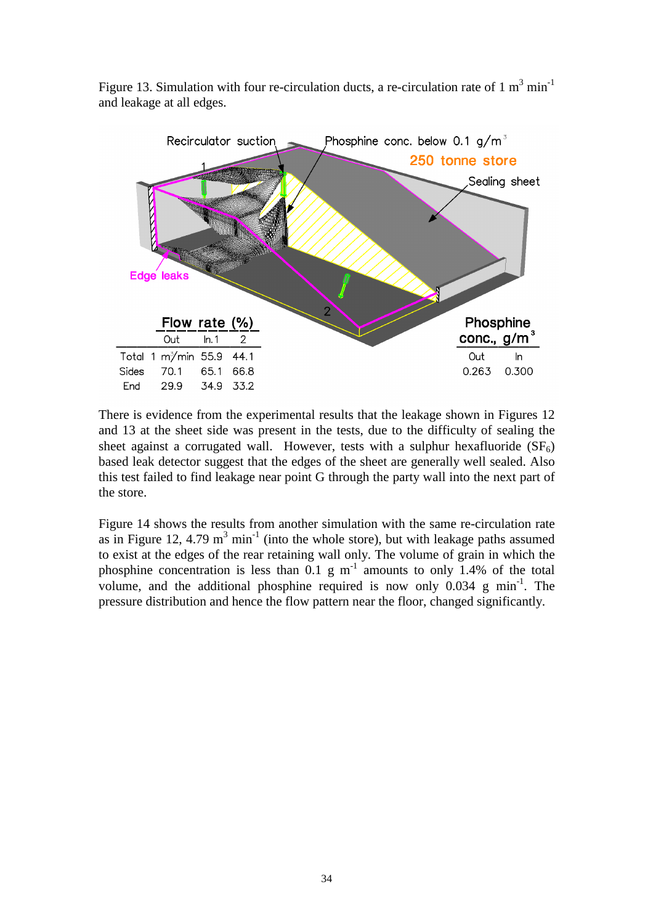

Figure 13. Simulation with four re-circulation ducts, a re-circulation rate of 1  $m^3$  min<sup>-1</sup> and leakage at all edges.

There is evidence from the experimental results that the leakage shown in Figures 12 and 13 at the sheet side was present in the tests, due to the difficulty of sealing the sheet against a corrugated wall. However, tests with a sulphur hexafluoride  $(SF_6)$ based leak detector suggest that the edges of the sheet are generally well sealed. Also this test failed to find leakage near point G through the party wall into the next part of the store.

Figure 14 shows the results from another simulation with the same re-circulation rate as in Figure 12, 4.79  $m^3$  min<sup>-1</sup> (into the whole store), but with leakage paths assumed to exist at the edges of the rear retaining wall only. The volume of grain in which the phosphine concentration is less than  $0.1 \text{ g m}^{-1}$  amounts to only 1.4% of the total volume, and the additional phosphine required is now only  $0.034 \text{ g min}^{-1}$ . The pressure distribution and hence the flow pattern near the floor, changed significantly.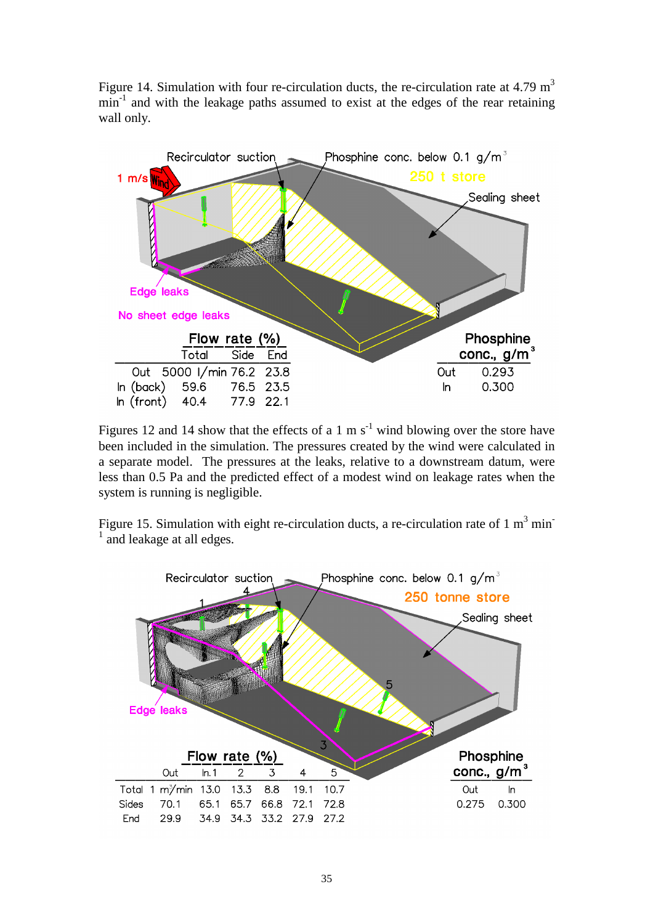Figure 14. Simulation with four re-circulation ducts, the re-circulation rate at 4.79  $m<sup>3</sup>$  $min<sup>-1</sup>$  and with the leakage paths assumed to exist at the edges of the rear retaining wall only.



Figures 12 and 14 show that the effects of a 1 m  $s^{-1}$  wind blowing over the store have been included in the simulation. The pressures created by the wind were calculated in a separate model. The pressures at the leaks, relative to a downstream datum, were less than 0.5 Pa and the predicted effect of a modest wind on leakage rates when the system is running is negligible.

Figure 15. Simulation with eight re-circulation ducts, a re-circulation rate of 1  $m<sup>3</sup>$  min<sup>-</sup> 1 and leakage at all edges.

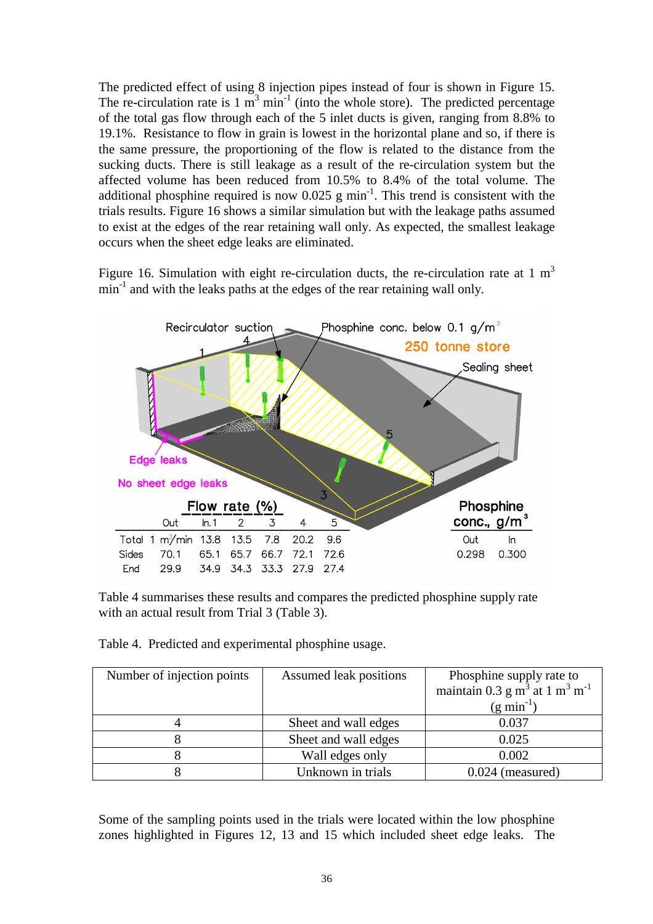The predicted effect of using 8 injection pipes instead of four is shown in Figure 15. The re-circulation rate is  $1 \text{ m}^3 \text{ min}^{-1}$  (into the whole store). The predicted percentage of the total gas flow through each of the 5 inlet ducts is given, ranging from 8.8% to 19.1%. Resistance to flow in grain is lowest in the horizontal plane and so, if there is the same pressure, the proportioning of the flow is related to the distance from the sucking ducts. There is still leakage as a result of the re-circulation system but the affected volume has been reduced from 10.5% to 8.4% of the total volume. The additional phosphine required is now  $0.025$  g min<sup>-1</sup>. This trend is consistent with the trials results. Figure 16 shows a similar simulation but with the leakage paths assumed to exist at the edges of the rear retaining wall only. As expected, the smallest leakage occurs when the sheet edge leaks are eliminated.

Figure 16. Simulation with eight re-circulation ducts, the re-circulation rate at 1  $m<sup>3</sup>$  $min<sup>-1</sup>$  and with the leaks paths at the edges of the rear retaining wall only.



Table 4 summarises these results and compares the predicted phosphine supply rate with an actual result from Trial 3 (Table 3).

Table 4. Predicted and experimental phosphine usage.

| Number of injection points | Assumed leak positions | Phosphine supply rate to<br>maintain 0.3 g $\overline{m}^3$ at 1 $\overline{m}^3$ m <sup>-1</sup> |
|----------------------------|------------------------|---------------------------------------------------------------------------------------------------|
|                            |                        | $(g \min^{-1})$                                                                                   |
|                            | Sheet and wall edges   | 0.037                                                                                             |
|                            | Sheet and wall edges   | 0.025                                                                                             |
|                            | Wall edges only        | 0.002                                                                                             |
|                            | Unknown in trials      | $0.024$ (measured)                                                                                |

Some of the sampling points used in the trials were located within the low phosphine zones highlighted in Figures 12, 13 and 15 which included sheet edge leaks. The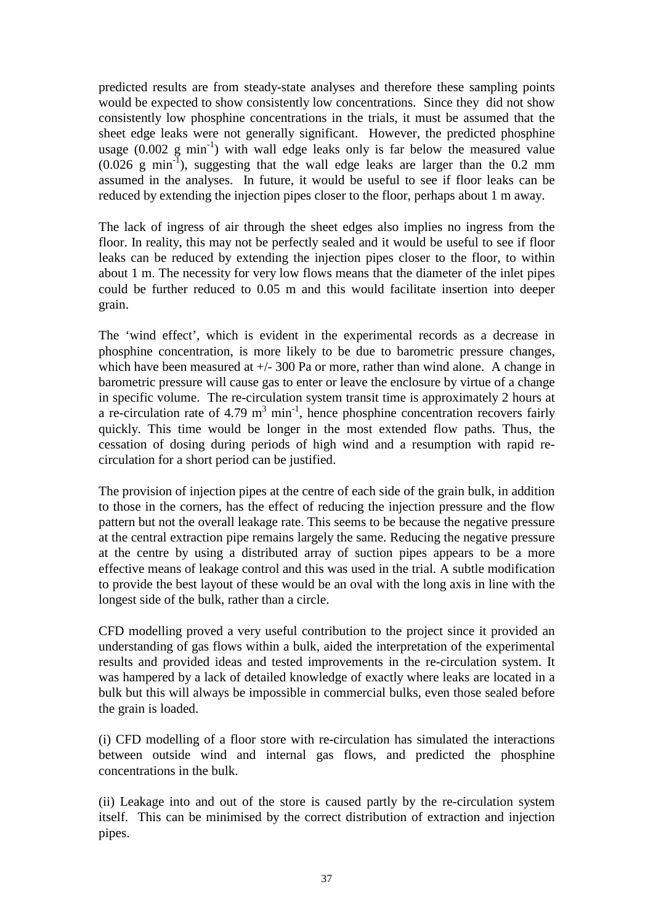predicted results are from steady-state analyses and therefore these sampling points would be expected to show consistently low concentrations. Since they did not show consistently low phosphine concentrations in the trials, it must be assumed that the sheet edge leaks were not generally significant. However, the predicted phosphine usage  $(0.002 \text{ g min}^{-1})$  with wall edge leaks only is far below the measured value  $(0.026 \text{ g min}^{-1})$ , suggesting that the wall edge leaks are larger than the 0.2 mm assumed in the analyses. In future, it would be useful to see if floor leaks can be reduced by extending the injection pipes closer to the floor, perhaps about 1 m away.

The lack of ingress of air through the sheet edges also implies no ingress from the floor. In reality, this may not be perfectly sealed and it would be useful to see if floor leaks can be reduced by extending the injection pipes closer to the floor, to within about 1 m. The necessity for very low flows means that the diameter of the inlet pipes could be further reduced to 0.05 m and this would facilitate insertion into deeper grain.

The 'wind effect', which is evident in the experimental records as a decrease in phosphine concentration, is more likely to be due to barometric pressure changes, which have been measured at  $+/- 300$  Pa or more, rather than wind alone. A change in barometric pressure will cause gas to enter or leave the enclosure by virtue of a change in specific volume. The re-circulation system transit time is approximately 2 hours at a re-circulation rate of 4.79  $m^3$  min<sup>-1</sup>, hence phosphine concentration recovers fairly quickly. This time would be longer in the most extended flow paths. Thus, the cessation of dosing during periods of high wind and a resumption with rapid recirculation for a short period can be justified.

The provision of injection pipes at the centre of each side of the grain bulk, in addition to those in the corners, has the effect of reducing the injection pressure and the flow pattern but not the overall leakage rate. This seems to be because the negative pressure at the central extraction pipe remains largely the same. Reducing the negative pressure at the centre by using a distributed array of suction pipes appears to be a more effective means of leakage control and this was used in the trial. A subtle modification to provide the best layout of these would be an oval with the long axis in line with the longest side of the bulk, rather than a circle.

CFD modelling proved a very useful contribution to the project since it provided an understanding of gas flows within a bulk, aided the interpretation of the experimental results and provided ideas and tested improvements in the re-circulation system. It was hampered by a lack of detailed knowledge of exactly where leaks are located in a bulk but this will always be impossible in commercial bulks, even those sealed before the grain is loaded.

(i) CFD modelling of a floor store with re-circulation has simulated the interactions between outside wind and internal gas flows, and predicted the phosphine concentrations in the bulk.

(ii) Leakage into and out of the store is caused partly by the re-circulation system itself. This can be minimised by the correct distribution of extraction and injection pipes.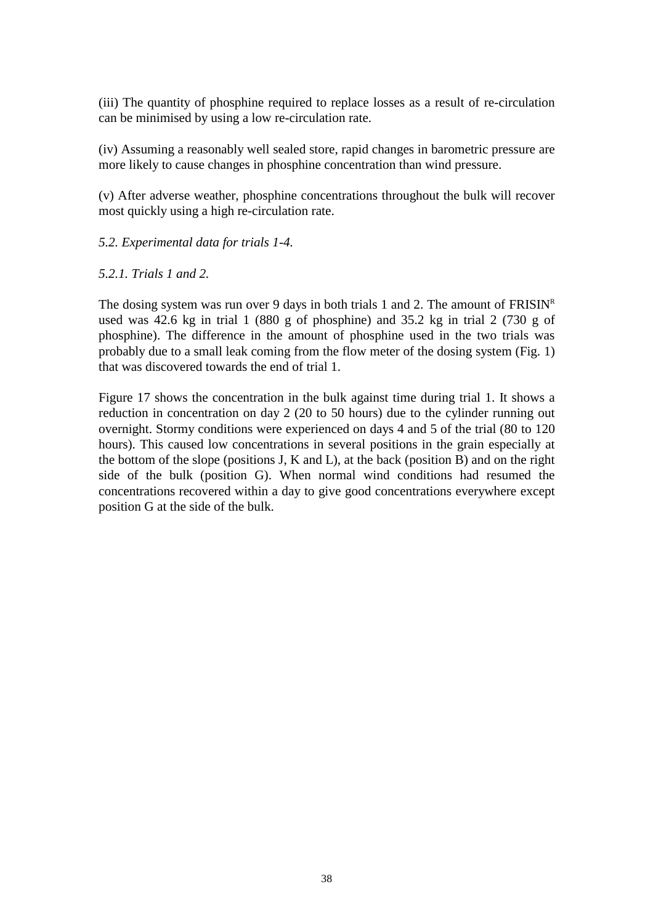(iii) The quantity of phosphine required to replace losses as a result of re-circulation can be minimised by using a low re-circulation rate.

(iv) Assuming a reasonably well sealed store, rapid changes in barometric pressure are more likely to cause changes in phosphine concentration than wind pressure.

(v) After adverse weather, phosphine concentrations throughout the bulk will recover most quickly using a high re-circulation rate.

#### *5.2. Experimental data for trials 1-4.*

#### *5.2.1. Trials 1 and 2.*

The dosing system was run over 9 days in both trials 1 and 2. The amount of  $FRISIN<sup>R</sup>$ used was 42.6 kg in trial 1 (880 g of phosphine) and 35.2 kg in trial 2 (730 g of phosphine). The difference in the amount of phosphine used in the two trials was probably due to a small leak coming from the flow meter of the dosing system (Fig. 1) that was discovered towards the end of trial 1.

Figure 17 shows the concentration in the bulk against time during trial 1. It shows a reduction in concentration on day 2 (20 to 50 hours) due to the cylinder running out overnight. Stormy conditions were experienced on days 4 and 5 of the trial (80 to 120 hours). This caused low concentrations in several positions in the grain especially at the bottom of the slope (positions J, K and L), at the back (position B) and on the right side of the bulk (position G). When normal wind conditions had resumed the concentrations recovered within a day to give good concentrations everywhere except position G at the side of the bulk.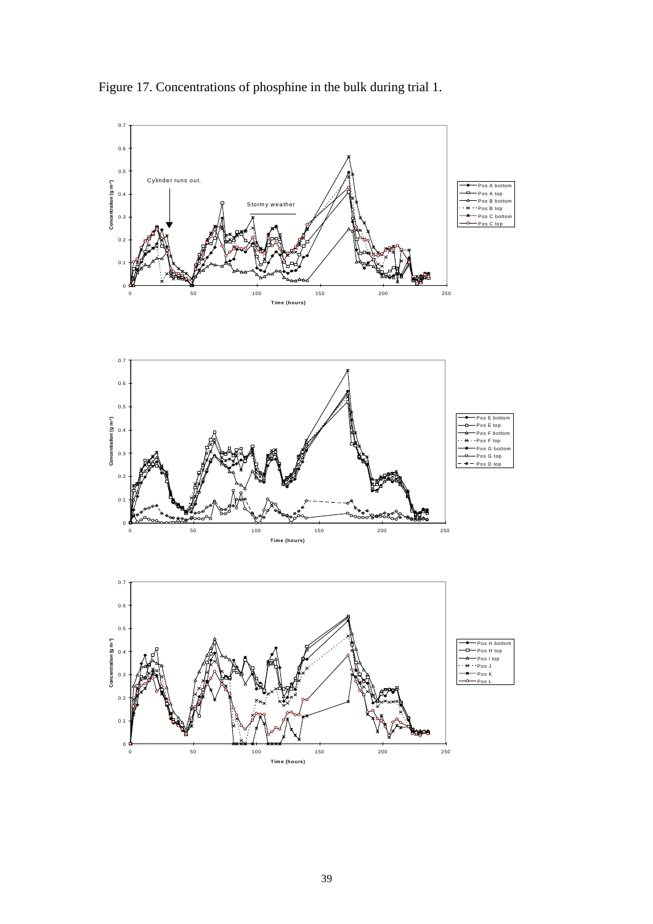

Figure 17. Concentrations of phosphine in the bulk during trial 1.



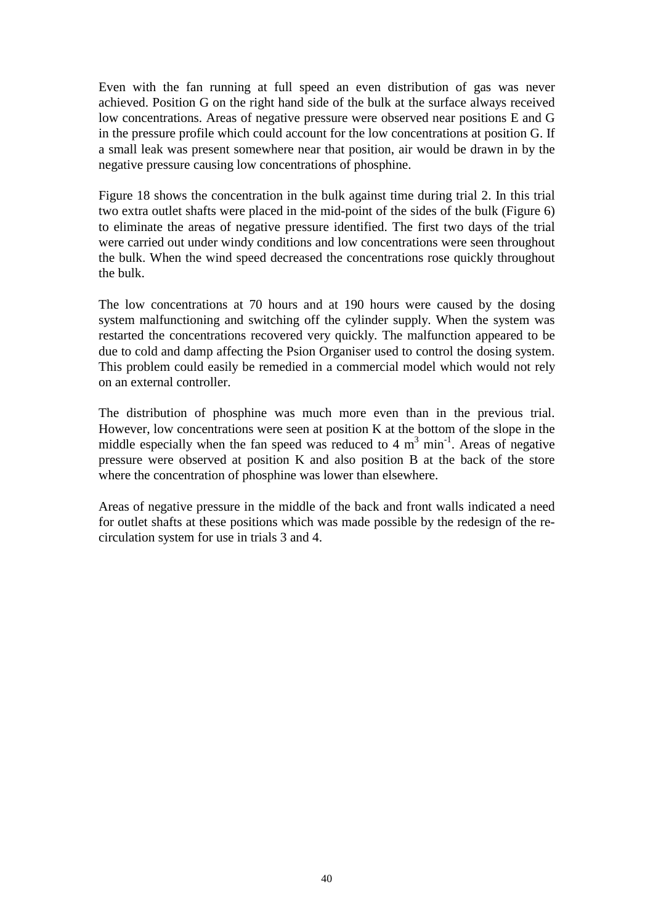Even with the fan running at full speed an even distribution of gas was never achieved. Position G on the right hand side of the bulk at the surface always received low concentrations. Areas of negative pressure were observed near positions E and G in the pressure profile which could account for the low concentrations at position G. If a small leak was present somewhere near that position, air would be drawn in by the negative pressure causing low concentrations of phosphine.

Figure 18 shows the concentration in the bulk against time during trial 2. In this trial two extra outlet shafts were placed in the mid-point of the sides of the bulk (Figure 6) to eliminate the areas of negative pressure identified. The first two days of the trial were carried out under windy conditions and low concentrations were seen throughout the bulk. When the wind speed decreased the concentrations rose quickly throughout the bulk.

The low concentrations at 70 hours and at 190 hours were caused by the dosing system malfunctioning and switching off the cylinder supply. When the system was restarted the concentrations recovered very quickly. The malfunction appeared to be due to cold and damp affecting the Psion Organiser used to control the dosing system. This problem could easily be remedied in a commercial model which would not rely on an external controller.

The distribution of phosphine was much more even than in the previous trial. However, low concentrations were seen at position K at the bottom of the slope in the middle especially when the fan speed was reduced to 4  $m<sup>3</sup>$  min<sup>-1</sup>. Areas of negative pressure were observed at position K and also position B at the back of the store where the concentration of phosphine was lower than elsewhere.

Areas of negative pressure in the middle of the back and front walls indicated a need for outlet shafts at these positions which was made possible by the redesign of the recirculation system for use in trials 3 and 4.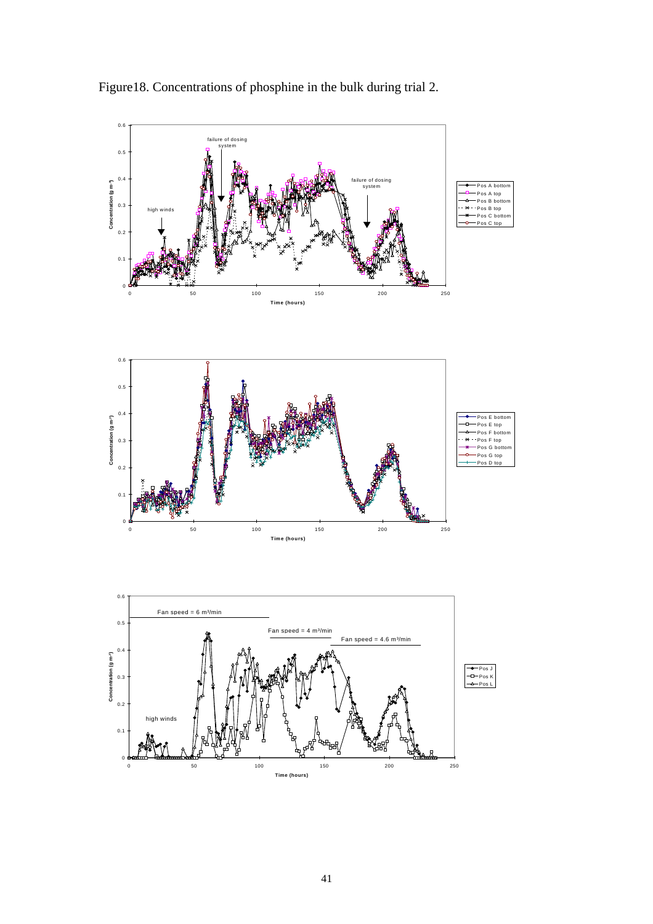

Figure18. Concentrations of phosphine in the bulk during trial 2.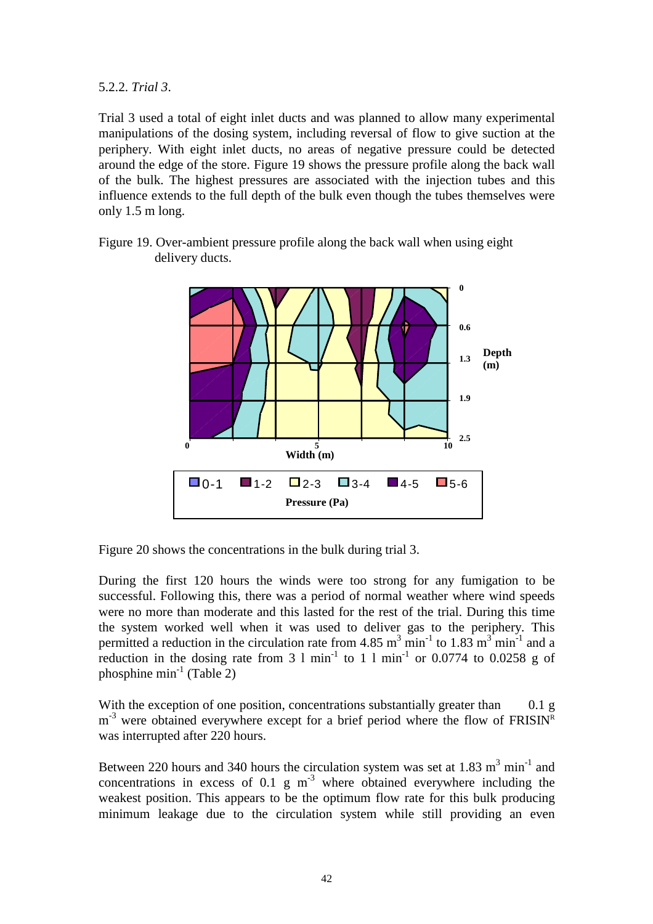5.2.2. *Trial 3*.

Trial 3 used a total of eight inlet ducts and was planned to allow many experimental manipulations of the dosing system, including reversal of flow to give suction at the periphery. With eight inlet ducts, no areas of negative pressure could be detected around the edge of the store. Figure 19 shows the pressure profile along the back wall of the bulk. The highest pressures are associated with the injection tubes and this influence extends to the full depth of the bulk even though the tubes themselves were only 1.5 m long.



Figure 19. Over-ambient pressure profile along the back wall when using eight delivery ducts.

Figure 20 shows the concentrations in the bulk during trial 3.

During the first 120 hours the winds were too strong for any fumigation to be successful. Following this, there was a period of normal weather where wind speeds were no more than moderate and this lasted for the rest of the trial. During this time the system worked well when it was used to deliver gas to the periphery. This permitted a reduction in the circulation rate from 4.85 m<sup>3</sup> min<sup>-1</sup> to 1.83 m<sup>3</sup> min<sup>-1</sup> and a reduction in the dosing rate from 3 l min<sup>-1</sup> to 1 l min<sup>-1</sup> or 0.0774 to 0.0258 g of phosphine  $\min^{-1}$  (Table 2)

With the exception of one position, concentrations substantially greater than 0.1 g  $m<sup>-3</sup>$  were obtained everywhere except for a brief period where the flow of FRISIN<sup>R</sup> was interrupted after 220 hours.

Between 220 hours and 340 hours the circulation system was set at 1.83  $m^3$  min<sup>-1</sup> and concentrations in excess of 0.1 g  $m^{-3}$  where obtained everywhere including the weakest position. This appears to be the optimum flow rate for this bulk producing minimum leakage due to the circulation system while still providing an even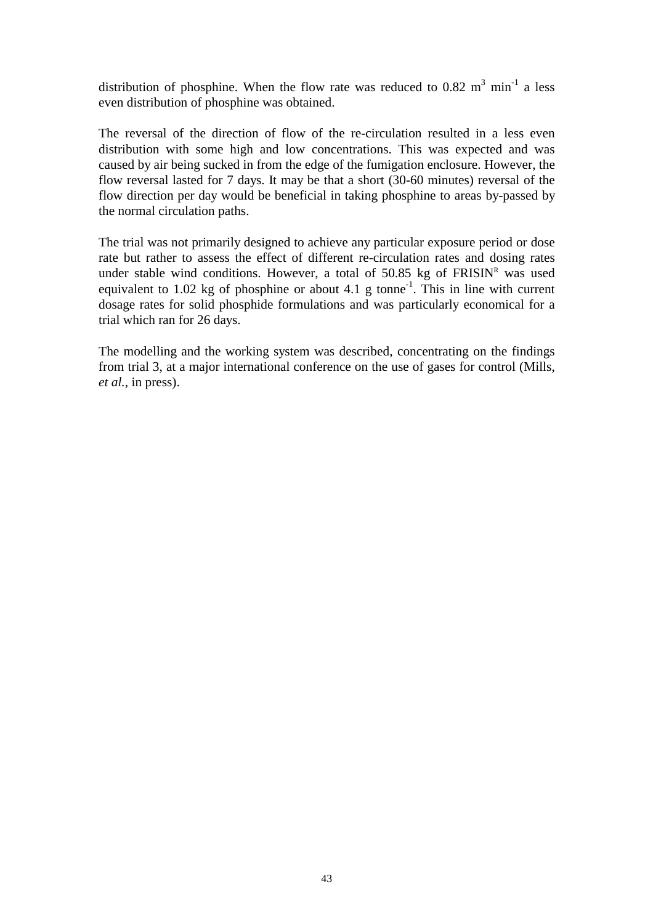distribution of phosphine. When the flow rate was reduced to 0.82  $m^3$  min<sup>-1</sup> a less even distribution of phosphine was obtained.

The reversal of the direction of flow of the re-circulation resulted in a less even distribution with some high and low concentrations. This was expected and was caused by air being sucked in from the edge of the fumigation enclosure. However, the flow reversal lasted for 7 days. It may be that a short (30-60 minutes) reversal of the flow direction per day would be beneficial in taking phosphine to areas by-passed by the normal circulation paths.

The trial was not primarily designed to achieve any particular exposure period or dose rate but rather to assess the effect of different re-circulation rates and dosing rates under stable wind conditions. However, a total of 50.85 kg of  $FRISIN<sup>R</sup>$  was used equivalent to 1.02 kg of phosphine or about 4.1 g tonne<sup>-1</sup>. This in line with current dosage rates for solid phosphide formulations and was particularly economical for a trial which ran for 26 days.

The modelling and the working system was described, concentrating on the findings from trial 3, at a major international conference on the use of gases for control (Mills, *et al.,* in press).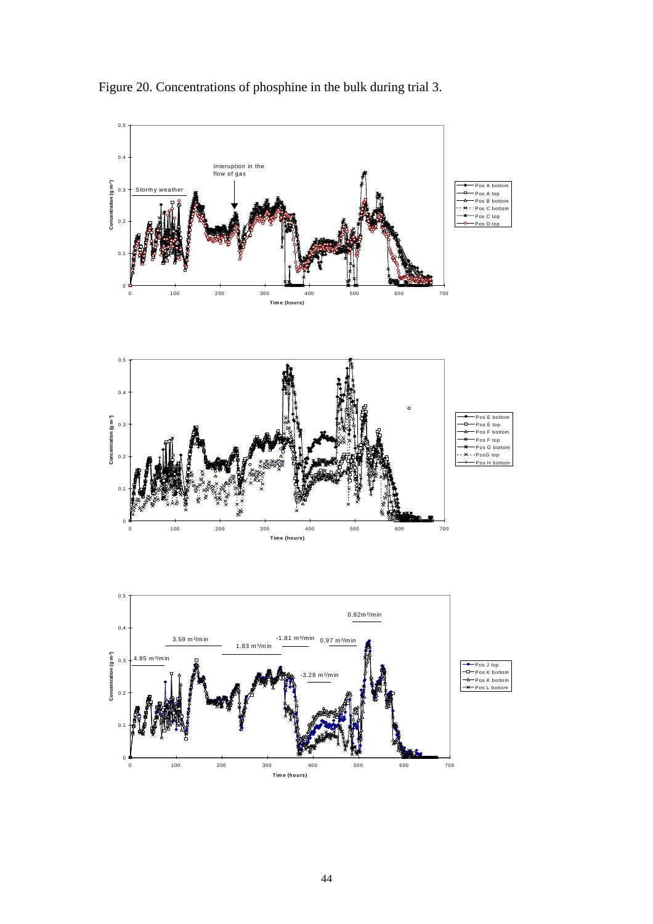

Figure 20. Concentrations of phosphine in the bulk during trial 3.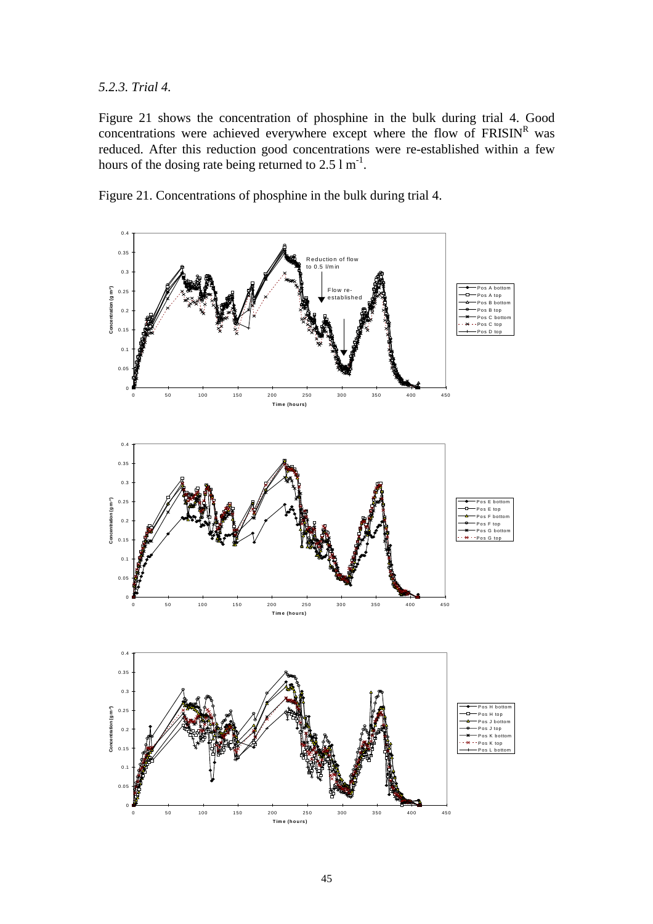*5.2.3. Trial 4.*

Figure 21 shows the concentration of phosphine in the bulk during trial 4. Good concentrations were achieved everywhere except where the flow of  $FRISIN<sup>R</sup>$  was reduced. After this reduction good concentrations were re-established within a few hours of the dosing rate being returned to  $2.5 \text{ m}^{-1}$ .

Figure 21. Concentrations of phosphine in the bulk during trial 4.

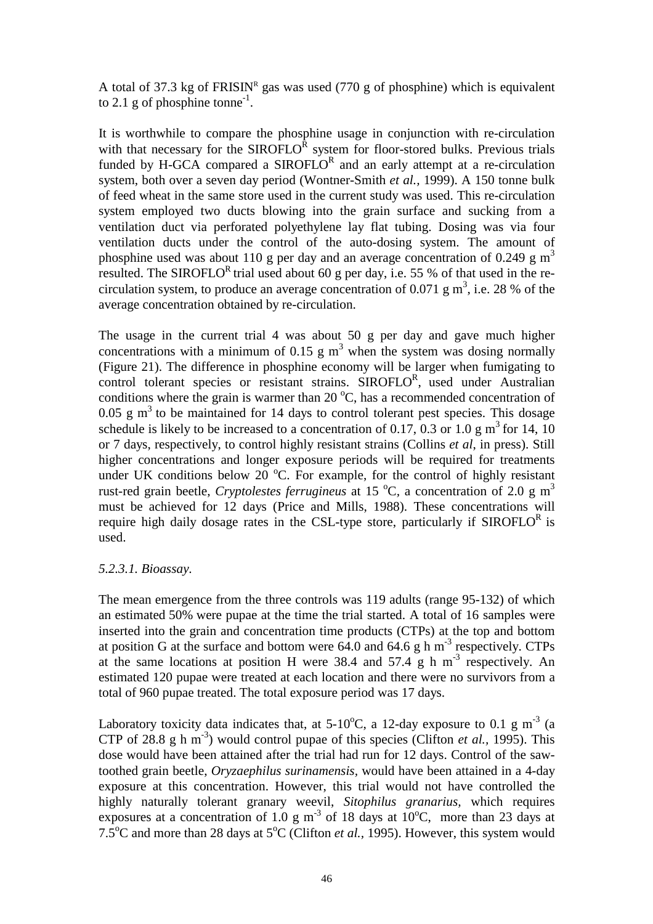A total of 37.3 kg of  $FRISIN<sup>R</sup>$  gas was used (770 g of phosphine) which is equivalent to 2.1 g of phosphine tonne<sup>-1</sup>.

It is worthwhile to compare the phosphine usage in conjunction with re-circulation with that necessary for the  $SIROFLO<sup>R</sup>$  system for floor-stored bulks. Previous trials funded by H-GCA compared a SIROFLO<sup>R</sup> and an early attempt at a re-circulation system, both over a seven day period (Wontner-Smith *et al.,* 1999). A 150 tonne bulk of feed wheat in the same store used in the current study was used. This re-circulation system employed two ducts blowing into the grain surface and sucking from a ventilation duct via perforated polyethylene lay flat tubing. Dosing was via four ventilation ducts under the control of the auto-dosing system. The amount of phosphine used was about 110 g per day and an average concentration of 0.249 g  $m<sup>3</sup>$ resulted. The SIROFLO<sup>R</sup> trial used about 60 g per day, i.e. 55 % of that used in the recirculation system, to produce an average concentration of 0.071 g  $m^3$ , i.e. 28 % of the average concentration obtained by re-circulation.

The usage in the current trial 4 was about 50 g per day and gave much higher concentrations with a minimum of 0.15 g  $m<sup>3</sup>$  when the system was dosing normally (Figure 21). The difference in phosphine economy will be larger when fumigating to control tolerant species or resistant strains. SIROFLOR, used under Australian conditions where the grain is warmer than 20  $^{\circ}$ C, has a recommended concentration of 0.05 g  $m<sup>3</sup>$  to be maintained for 14 days to control tolerant pest species. This dosage schedule is likely to be increased to a concentration of 0.17, 0.3 or 1.0 g  $m<sup>3</sup>$  for 14, 10 or 7 days, respectively, to control highly resistant strains (Collins *et al*, in press). Still higher concentrations and longer exposure periods will be required for treatments under UK conditions below 20  $\mathrm{^{\circ}C}$ . For example, for the control of highly resistant rust-red grain beetle, *Cryptolestes ferrugineus* at 15 °C, a concentration of 2.0 g m<sup>3</sup> must be achieved for 12 days (Price and Mills, 1988). These concentrations will require high daily dosage rates in the CSL-type store, particularly if  $SIROFLO<sup>R</sup>$  is used.

#### *5.2.3.1. Bioassay.*

The mean emergence from the three controls was 119 adults (range 95-132) of which an estimated 50% were pupae at the time the trial started. A total of 16 samples were inserted into the grain and concentration time products (CTPs) at the top and bottom at position G at the surface and bottom were 64.0 and 64.6 g h m<sup>-3</sup> respectively. CTPs at the same locations at position H were 38.4 and 57.4 g h  $m<sup>-3</sup>$  respectively. An estimated 120 pupae were treated at each location and there were no survivors from a total of 960 pupae treated. The total exposure period was 17 days.

Laboratory toxicity data indicates that, at 5-10 $^{\circ}$ C, a 12-day exposure to 0.1 g m<sup>-3</sup> (a CTP of 28.8 g h m<sup>-3</sup>) would control pupae of this species (Clifton *et al.*, 1995). This dose would have been attained after the trial had run for 12 days. Control of the sawtoothed grain beetle, *Oryzaephilus surinamensis,* would have been attained in a 4-day exposure at this concentration. However, this trial would not have controlled the highly naturally tolerant granary weevil, *Sitophilus granarius,* which requires exposures at a concentration of 1.0 g m<sup>-3</sup> of 18 days at  $10^{\circ}$ C, more than 23 days at 7.5<sup>o</sup>C and more than 28 days at 5<sup>o</sup>C (Clifton *et al.,* 1995). However, this system would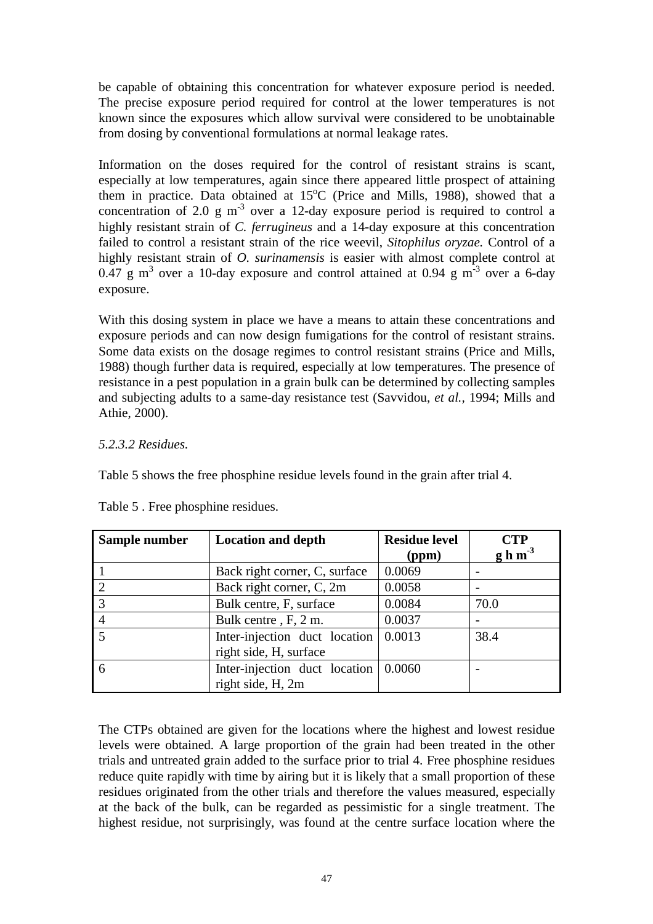be capable of obtaining this concentration for whatever exposure period is needed. The precise exposure period required for control at the lower temperatures is not known since the exposures which allow survival were considered to be unobtainable from dosing by conventional formulations at normal leakage rates.

Information on the doses required for the control of resistant strains is scant, especially at low temperatures, again since there appeared little prospect of attaining them in practice. Data obtained at 15°C (Price and Mills, 1988), showed that a concentration of 2.0 g  $m<sup>3</sup>$  over a 12-day exposure period is required to control a highly resistant strain of *C. ferrugineus* and a 14-day exposure at this concentration failed to control a resistant strain of the rice weevil, *Sitophilus oryzae.* Control of a highly resistant strain of *O. surinamensis* is easier with almost complete control at 0.47 g m<sup>3</sup> over a 10-day exposure and control attained at 0.94 g m<sup>-3</sup> over a 6-day exposure.

With this dosing system in place we have a means to attain these concentrations and exposure periods and can now design fumigations for the control of resistant strains. Some data exists on the dosage regimes to control resistant strains (Price and Mills, 1988) though further data is required, especially at low temperatures. The presence of resistance in a pest population in a grain bulk can be determined by collecting samples and subjecting adults to a same-day resistance test (Savvidou, *et al.,* 1994; Mills and Athie, 2000).

## *5.2.3.2 Residues.*

Table 5 shows the free phosphine residue levels found in the grain after trial 4.

| Sample number | <b>Location and depth</b>                               | <b>Residue level</b><br>(ppm) | <b>CTP</b><br>$g h m-3$ |
|---------------|---------------------------------------------------------|-------------------------------|-------------------------|
|               | Back right corner, C, surface                           | 0.0069                        |                         |
|               | Back right corner, C, 2m                                | 0.0058                        |                         |
|               | Bulk centre, F, surface                                 | 0.0084                        | 70.0                    |
|               | Bulk centre, F, 2 m.                                    | 0.0037                        |                         |
|               | Inter-injection duct location<br>right side, H, surface | 0.0013                        | 38.4                    |
|               | Inter-injection duct location                           | 0.0060                        |                         |
|               | right side, H, 2m                                       |                               |                         |

Table 5 . Free phosphine residues.

The CTPs obtained are given for the locations where the highest and lowest residue levels were obtained. A large proportion of the grain had been treated in the other trials and untreated grain added to the surface prior to trial 4. Free phosphine residues reduce quite rapidly with time by airing but it is likely that a small proportion of these residues originated from the other trials and therefore the values measured, especially at the back of the bulk, can be regarded as pessimistic for a single treatment. The highest residue, not surprisingly, was found at the centre surface location where the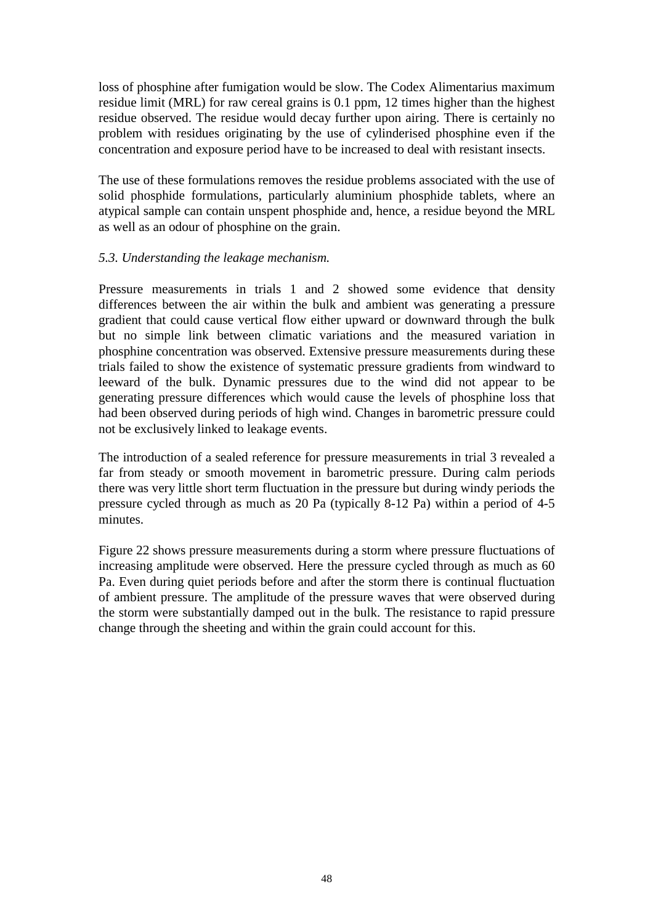loss of phosphine after fumigation would be slow. The Codex Alimentarius maximum residue limit (MRL) for raw cereal grains is 0.1 ppm, 12 times higher than the highest residue observed. The residue would decay further upon airing. There is certainly no problem with residues originating by the use of cylinderised phosphine even if the concentration and exposure period have to be increased to deal with resistant insects.

The use of these formulations removes the residue problems associated with the use of solid phosphide formulations, particularly aluminium phosphide tablets, where an atypical sample can contain unspent phosphide and, hence, a residue beyond the MRL as well as an odour of phosphine on the grain.

#### *5.3. Understanding the leakage mechanism.*

Pressure measurements in trials 1 and 2 showed some evidence that density differences between the air within the bulk and ambient was generating a pressure gradient that could cause vertical flow either upward or downward through the bulk but no simple link between climatic variations and the measured variation in phosphine concentration was observed. Extensive pressure measurements during these trials failed to show the existence of systematic pressure gradients from windward to leeward of the bulk. Dynamic pressures due to the wind did not appear to be generating pressure differences which would cause the levels of phosphine loss that had been observed during periods of high wind. Changes in barometric pressure could not be exclusively linked to leakage events.

The introduction of a sealed reference for pressure measurements in trial 3 revealed a far from steady or smooth movement in barometric pressure. During calm periods there was very little short term fluctuation in the pressure but during windy periods the pressure cycled through as much as 20 Pa (typically 8-12 Pa) within a period of 4-5 minutes.

Figure 22 shows pressure measurements during a storm where pressure fluctuations of increasing amplitude were observed. Here the pressure cycled through as much as 60 Pa. Even during quiet periods before and after the storm there is continual fluctuation of ambient pressure. The amplitude of the pressure waves that were observed during the storm were substantially damped out in the bulk. The resistance to rapid pressure change through the sheeting and within the grain could account for this.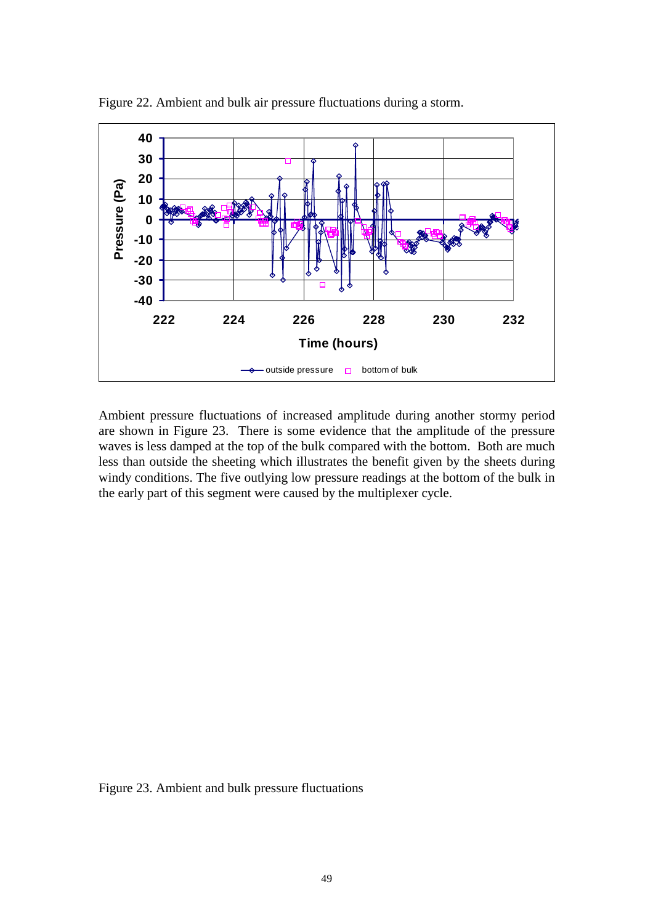

Figure 22. Ambient and bulk air pressure fluctuations during a storm.

Ambient pressure fluctuations of increased amplitude during another stormy period are shown in Figure 23. There is some evidence that the amplitude of the pressure waves is less damped at the top of the bulk compared with the bottom. Both are much less than outside the sheeting which illustrates the benefit given by the sheets during windy conditions. The five outlying low pressure readings at the bottom of the bulk in the early part of this segment were caused by the multiplexer cycle.

Figure 23. Ambient and bulk pressure fluctuations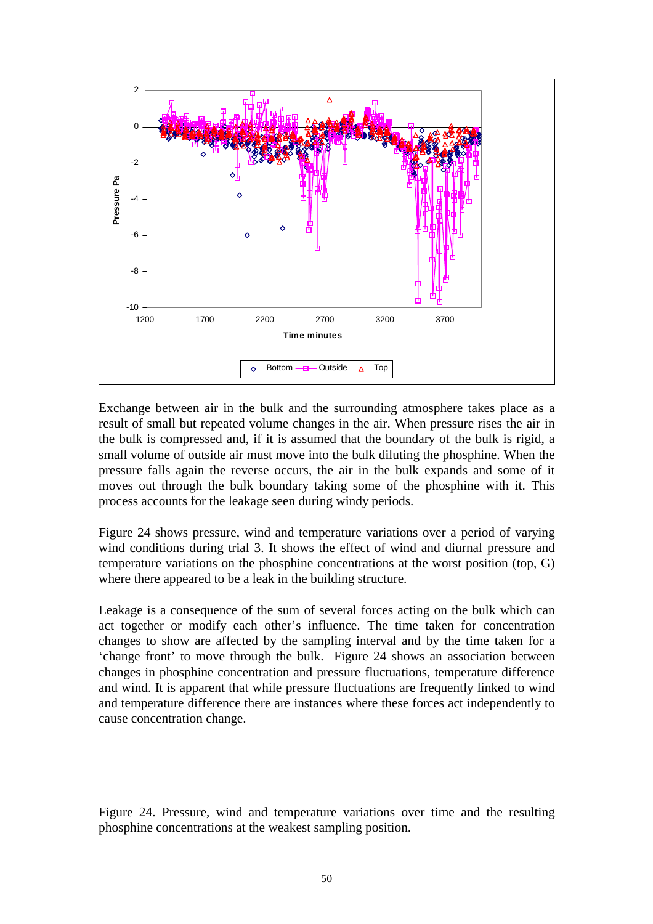

Exchange between air in the bulk and the surrounding atmosphere takes place as a result of small but repeated volume changes in the air. When pressure rises the air in the bulk is compressed and, if it is assumed that the boundary of the bulk is rigid, a small volume of outside air must move into the bulk diluting the phosphine. When the pressure falls again the reverse occurs, the air in the bulk expands and some of it moves out through the bulk boundary taking some of the phosphine with it. This process accounts for the leakage seen during windy periods.

Figure 24 shows pressure, wind and temperature variations over a period of varying wind conditions during trial 3. It shows the effect of wind and diurnal pressure and temperature variations on the phosphine concentrations at the worst position (top, G) where there appeared to be a leak in the building structure.

Leakage is a consequence of the sum of several forces acting on the bulk which can act together or modify each other's influence. The time taken for concentration changes to show are affected by the sampling interval and by the time taken for a 'change front' to move through the bulk. Figure 24 shows an association between changes in phosphine concentration and pressure fluctuations, temperature difference and wind. It is apparent that while pressure fluctuations are frequently linked to wind and temperature difference there are instances where these forces act independently to cause concentration change.

Figure 24. Pressure, wind and temperature variations over time and the resulting phosphine concentrations at the weakest sampling position.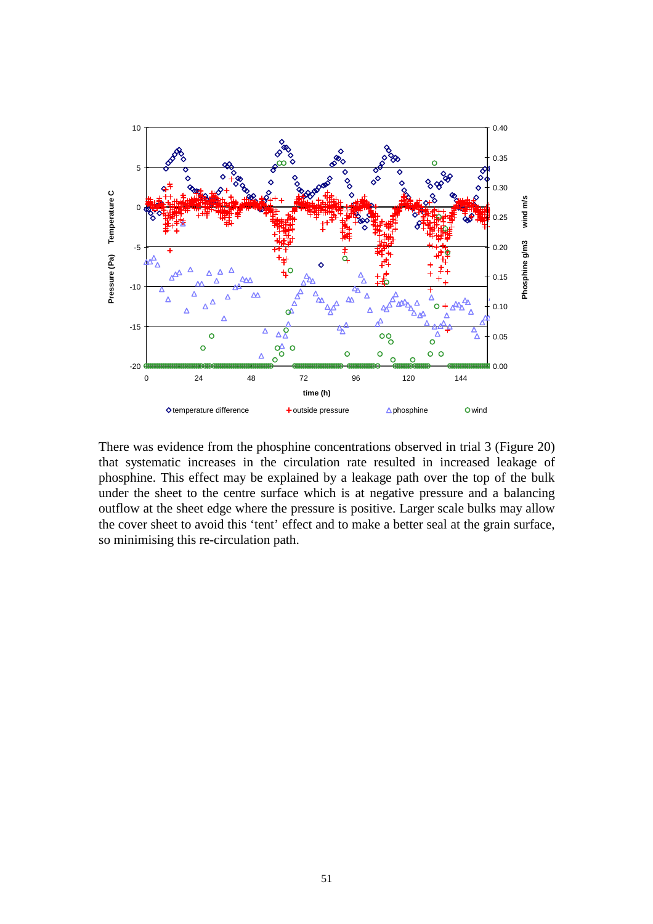

There was evidence from the phosphine concentrations observed in trial 3 (Figure 20) that systematic increases in the circulation rate resulted in increased leakage of phosphine. This effect may be explained by a leakage path over the top of the bulk under the sheet to the centre surface which is at negative pressure and a balancing outflow at the sheet edge where the pressure is positive. Larger scale bulks may allow the cover sheet to avoid this 'tent' effect and to make a better seal at the grain surface, so minimising this re-circulation path.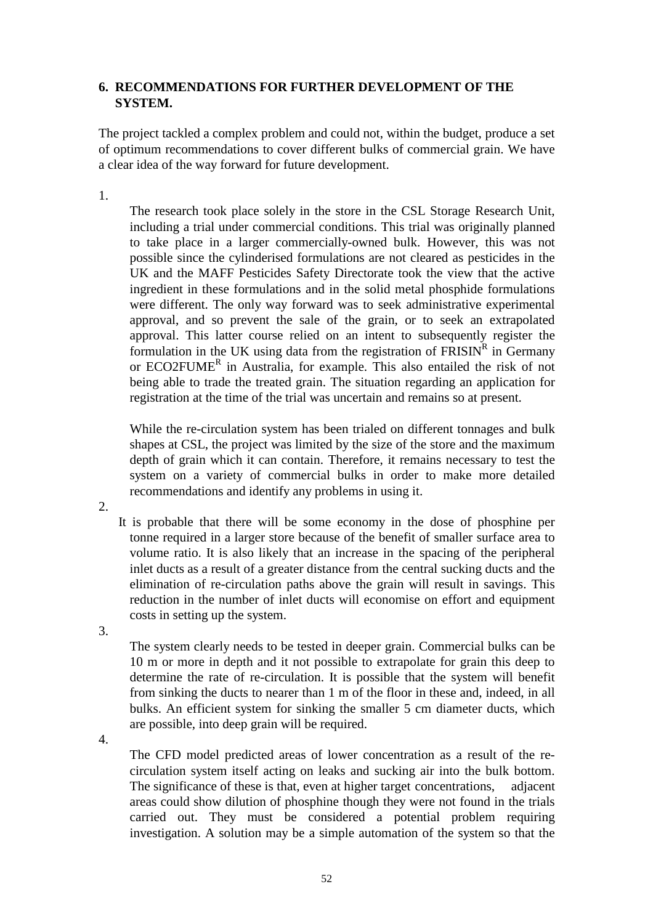## **6. RECOMMENDATIONS FOR FURTHER DEVELOPMENT OF THE SYSTEM.**

The project tackled a complex problem and could not, within the budget, produce a set of optimum recommendations to cover different bulks of commercial grain. We have a clear idea of the way forward for future development.

1.

The research took place solely in the store in the CSL Storage Research Unit, including a trial under commercial conditions. This trial was originally planned to take place in a larger commercially-owned bulk. However, this was not possible since the cylinderised formulations are not cleared as pesticides in the UK and the MAFF Pesticides Safety Directorate took the view that the active ingredient in these formulations and in the solid metal phosphide formulations were different. The only way forward was to seek administrative experimental approval, and so prevent the sale of the grain, or to seek an extrapolated approval. This latter course relied on an intent to subsequently register the formulation in the UK using data from the registration of  $FRISIN<sup>R</sup>$  in Germany or ECO2FUME<sup>R</sup> in Australia, for example. This also entailed the risk of not being able to trade the treated grain. The situation regarding an application for registration at the time of the trial was uncertain and remains so at present.

While the re-circulation system has been trialed on different tonnages and bulk shapes at CSL, the project was limited by the size of the store and the maximum depth of grain which it can contain. Therefore, it remains necessary to test the system on a variety of commercial bulks in order to make more detailed recommendations and identify any problems in using it.

2.

 It is probable that there will be some economy in the dose of phosphine per tonne required in a larger store because of the benefit of smaller surface area to volume ratio. It is also likely that an increase in the spacing of the peripheral inlet ducts as a result of a greater distance from the central sucking ducts and the elimination of re-circulation paths above the grain will result in savings. This reduction in the number of inlet ducts will economise on effort and equipment costs in setting up the system.

3.

The system clearly needs to be tested in deeper grain. Commercial bulks can be 10 m or more in depth and it not possible to extrapolate for grain this deep to determine the rate of re-circulation. It is possible that the system will benefit from sinking the ducts to nearer than 1 m of the floor in these and, indeed, in all bulks. An efficient system for sinking the smaller 5 cm diameter ducts, which are possible, into deep grain will be required.

4.

The CFD model predicted areas of lower concentration as a result of the recirculation system itself acting on leaks and sucking air into the bulk bottom. The significance of these is that, even at higher target concentrations, adjacent areas could show dilution of phosphine though they were not found in the trials carried out. They must be considered a potential problem requiring investigation. A solution may be a simple automation of the system so that the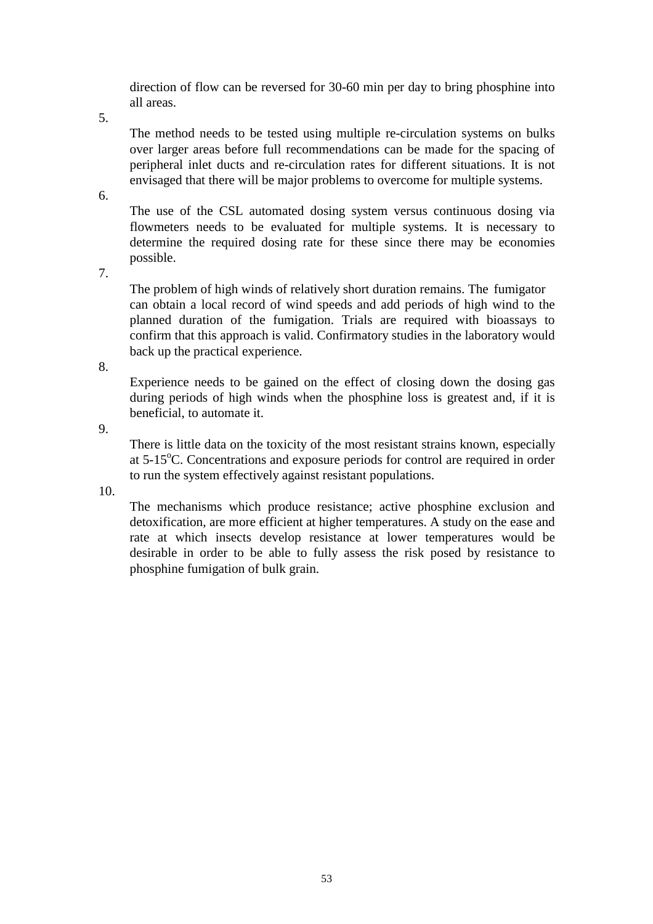direction of flow can be reversed for 30-60 min per day to bring phosphine into all areas.

5.

The method needs to be tested using multiple re-circulation systems on bulks over larger areas before full recommendations can be made for the spacing of peripheral inlet ducts and re-circulation rates for different situations. It is not envisaged that there will be major problems to overcome for multiple systems.

6.

The use of the CSL automated dosing system versus continuous dosing via flowmeters needs to be evaluated for multiple systems. It is necessary to determine the required dosing rate for these since there may be economies possible.

7.

The problem of high winds of relatively short duration remains. The fumigator can obtain a local record of wind speeds and add periods of high wind to the planned duration of the fumigation. Trials are required with bioassays to confirm that this approach is valid. Confirmatory studies in the laboratory would back up the practical experience.

8.

Experience needs to be gained on the effect of closing down the dosing gas during periods of high winds when the phosphine loss is greatest and, if it is beneficial, to automate it.

9.

There is little data on the toxicity of the most resistant strains known, especially at 5-15°C. Concentrations and exposure periods for control are required in order to run the system effectively against resistant populations.

10.

The mechanisms which produce resistance; active phosphine exclusion and detoxification, are more efficient at higher temperatures. A study on the ease and rate at which insects develop resistance at lower temperatures would be desirable in order to be able to fully assess the risk posed by resistance to phosphine fumigation of bulk grain.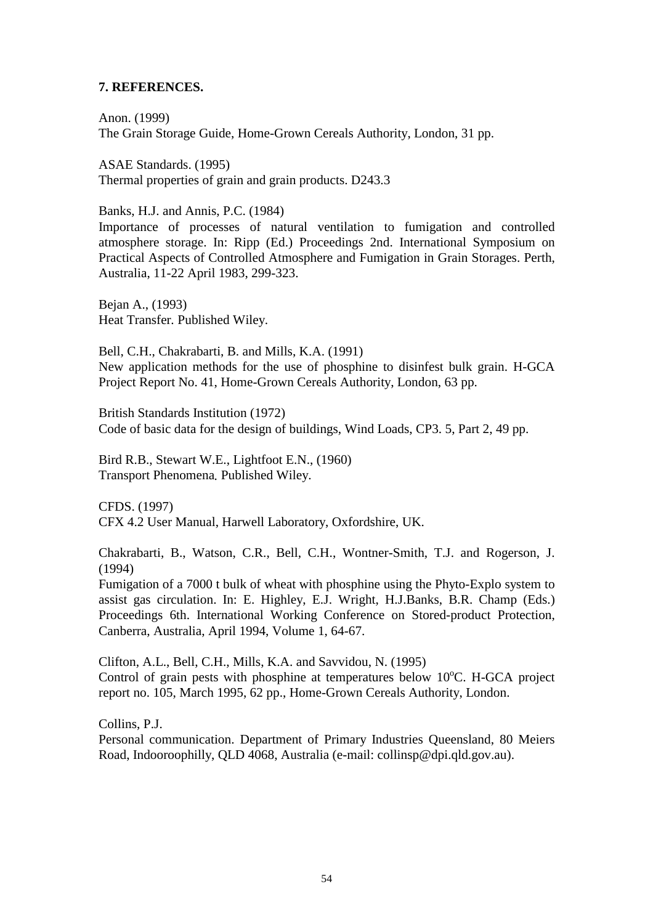## **7. REFERENCES.**

Anon. (1999) The Grain Storage Guide, Home-Grown Cereals Authority, London, 31 pp.

ASAE Standards. (1995) Thermal properties of grain and grain products. D243.3

Banks, H.J. and Annis, P.C. (1984)

Importance of processes of natural ventilation to fumigation and controlled atmosphere storage. In: Ripp (Ed.) Proceedings 2nd. International Symposium on Practical Aspects of Controlled Atmosphere and Fumigation in Grain Storages. Perth, Australia, 11-22 April 1983, 299-323.

Bejan A., (1993) Heat Transfer*.* Published Wiley.

Bell, C.H., Chakrabarti, B. and Mills, K.A. (1991) New application methods for the use of phosphine to disinfest bulk grain. H-GCA Project Report No. 41, Home-Grown Cereals Authority, London, 63 pp.

British Standards Institution (1972) Code of basic data for the design of buildings, Wind Loads, CP3. 5, Part 2, 49 pp.

Bird R.B., Stewart W.E., Lightfoot E.N., (1960) Transport Phenomena*.* Published Wiley.

CFDS. (1997) CFX 4.2 User Manual, Harwell Laboratory, Oxfordshire, UK.

Chakrabarti, B., Watson, C.R., Bell, C.H., Wontner-Smith, T.J. and Rogerson, J. (1994)

Fumigation of a 7000 t bulk of wheat with phosphine using the Phyto-Explo system to assist gas circulation. In: E. Highley, E.J. Wright, H.J.Banks, B.R. Champ (Eds.) Proceedings 6th. International Working Conference on Stored-product Protection, Canberra, Australia, April 1994, Volume 1, 64-67.

Clifton, A.L., Bell, C.H., Mills, K.A. and Savvidou, N. (1995) Control of grain pests with phosphine at temperatures below 10°C. H-GCA project report no. 105, March 1995, 62 pp., Home-Grown Cereals Authority, London.

Collins, P.J. Personal communication. Department of Primary Industries Queensland, 80 Meiers Road, Indooroophilly, QLD 4068, Australia (e-mail: collinsp@dpi.qld.gov.au).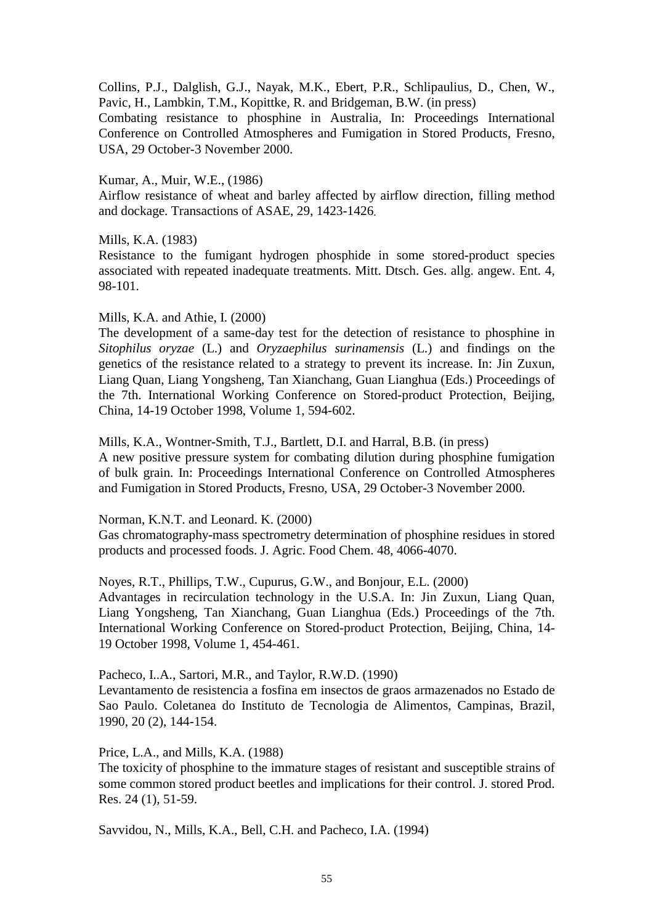Collins, P.J., Dalglish, G.J., Nayak, M.K., Ebert, P.R., Schlipaulius, D., Chen, W., Pavic, H., Lambkin, T.M., Kopittke, R. and Bridgeman, B.W. (in press)

Combating resistance to phosphine in Australia, In: Proceedings International Conference on Controlled Atmospheres and Fumigation in Stored Products, Fresno, USA, 29 October-3 November 2000.

#### Kumar, A., Muir, W.E., (1986)

Airflow resistance of wheat and barley affected by airflow direction, filling method and dockage. Transactions of ASAE, 29, 1423-1426.

#### Mills, K.A. (1983)

Resistance to the fumigant hydrogen phosphide in some stored-product species associated with repeated inadequate treatments. Mitt. Dtsch. Ges. allg. angew. Ent. 4, 98-101.

#### Mills, K.A. and Athie, I. (2000)

The development of a same-day test for the detection of resistance to phosphine in *Sitophilus oryzae* (L.) and *Oryzaephilus surinamensis* (L.) and findings on the genetics of the resistance related to a strategy to prevent its increase. In: Jin Zuxun, Liang Quan, Liang Yongsheng, Tan Xianchang, Guan Lianghua (Eds.) Proceedings of the 7th. International Working Conference on Stored-product Protection, Beijing, China, 14-19 October 1998, Volume 1, 594-602.

Mills, K.A., Wontner-Smith, T.J., Bartlett, D.I. and Harral, B.B. (in press) A new positive pressure system for combating dilution during phosphine fumigation of bulk grain. In: Proceedings International Conference on Controlled Atmospheres and Fumigation in Stored Products, Fresno, USA, 29 October-3 November 2000.

Norman, K.N.T. and Leonard. K. (2000)

Gas chromatography-mass spectrometry determination of phosphine residues in stored products and processed foods. J. Agric. Food Chem. 48, 4066-4070.

Noyes, R.T., Phillips, T.W., Cupurus, G.W., and Bonjour, E.L. (2000)

Advantages in recirculation technology in the U.S.A. In: Jin Zuxun, Liang Quan, Liang Yongsheng, Tan Xianchang, Guan Lianghua (Eds.) Proceedings of the 7th. International Working Conference on Stored-product Protection, Beijing, China, 14- 19 October 1998, Volume 1, 454-461.

Pacheco, I..A., Sartori, M.R., and Taylor, R.W.D. (1990)

Levantamento de resistencia a fosfina em insectos de graos armazenados no Estado de Sao Paulo. Coletanea do Instituto de Tecnologia de Alimentos, Campinas, Brazil, 1990, 20 (2), 144-154.

Price, L.A., and Mills, K.A. (1988)

The toxicity of phosphine to the immature stages of resistant and susceptible strains of some common stored product beetles and implications for their control. J. stored Prod. Res. 24 (1), 51-59.

Savvidou, N., Mills, K.A., Bell, C.H. and Pacheco, I.A. (1994)